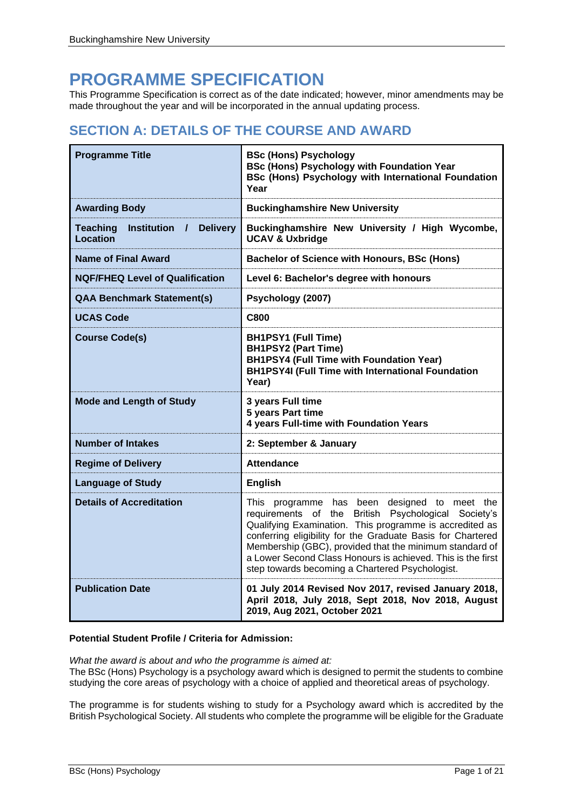# **PROGRAMME SPECIFICATION**

This Programme Specification is correct as of the date indicated; however, minor amendments may be made throughout the year and will be incorporated in the annual updating process.

## **SECTION A: DETAILS OF THE COURSE AND AWARD**

| <b>Programme Title</b>                                          | <b>BSc (Hons) Psychology</b><br><b>BSc (Hons) Psychology with Foundation Year</b><br><b>BSc (Hons) Psychology with International Foundation</b><br>Year                                                                                                                                                                                                                                                    |
|-----------------------------------------------------------------|------------------------------------------------------------------------------------------------------------------------------------------------------------------------------------------------------------------------------------------------------------------------------------------------------------------------------------------------------------------------------------------------------------|
| <b>Awarding Body</b>                                            | <b>Buckinghamshire New University</b>                                                                                                                                                                                                                                                                                                                                                                      |
| <b>Delivery</b><br><b>Teaching</b><br>Institution /<br>Location | Buckinghamshire New University / High Wycombe,<br><b>UCAV &amp; Uxbridge</b>                                                                                                                                                                                                                                                                                                                               |
| <b>Name of Final Award</b>                                      | <b>Bachelor of Science with Honours, BSc (Hons)</b>                                                                                                                                                                                                                                                                                                                                                        |
| <b>NQF/FHEQ Level of Qualification</b>                          | Level 6: Bachelor's degree with honours                                                                                                                                                                                                                                                                                                                                                                    |
| <b>QAA Benchmark Statement(s)</b>                               | Psychology (2007)                                                                                                                                                                                                                                                                                                                                                                                          |
| <b>UCAS Code</b>                                                | <b>C800</b>                                                                                                                                                                                                                                                                                                                                                                                                |
| <b>Course Code(s)</b>                                           | <b>BH1PSY1 (Full Time)</b><br><b>BH1PSY2 (Part Time)</b><br><b>BH1PSY4 (Full Time with Foundation Year)</b><br><b>BH1PSY4I</b> (Full Time with International Foundation<br>Year)                                                                                                                                                                                                                           |
| <b>Mode and Length of Study</b>                                 | 3 years Full time<br>5 years Part time<br>4 years Full-time with Foundation Years                                                                                                                                                                                                                                                                                                                          |
| <b>Number of Intakes</b>                                        | 2: September & January                                                                                                                                                                                                                                                                                                                                                                                     |
| <b>Regime of Delivery</b>                                       | <b>Attendance</b>                                                                                                                                                                                                                                                                                                                                                                                          |
| <b>Language of Study</b>                                        | <b>English</b>                                                                                                                                                                                                                                                                                                                                                                                             |
| <b>Details of Accreditation</b>                                 | This programme has been designed to meet the<br>requirements of the British Psychological Society's<br>Qualifying Examination. This programme is accredited as<br>conferring eligibility for the Graduate Basis for Chartered<br>Membership (GBC), provided that the minimum standard of<br>a Lower Second Class Honours is achieved. This is the first<br>step towards becoming a Chartered Psychologist. |
| <b>Publication Date</b>                                         | 01 July 2014 Revised Nov 2017, revised January 2018,<br>April 2018, July 2018, Sept 2018, Nov 2018, August<br>2019, Aug 2021, October 2021                                                                                                                                                                                                                                                                 |

### **Potential Student Profile / Criteria for Admission:**

*What the award is about and who the programme is aimed at:* The BSc (Hons) Psychology is a psychology award which is designed to permit the students to combine studying the core areas of psychology with a choice of applied and theoretical areas of psychology.

The programme is for students wishing to study for a Psychology award which is accredited by the British Psychological Society. All students who complete the programme will be eligible for the Graduate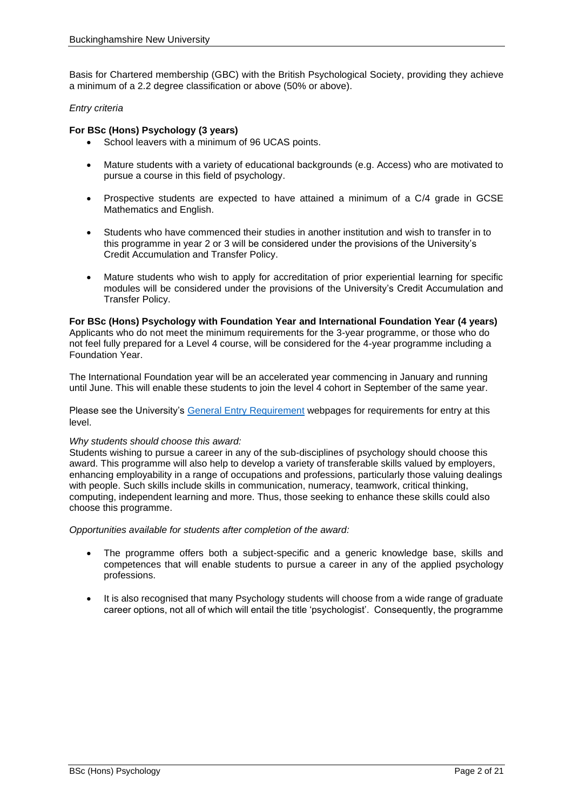Basis for Chartered membership (GBC) with the British Psychological Society, providing they achieve a minimum of a 2.2 degree classification or above (50% or above).

#### *Entry criteria*

### **For BSc (Hons) Psychology (3 years)**

- School leavers with a minimum of 96 UCAS points.
- Mature students with a variety of educational backgrounds (e.g. Access) who are motivated to pursue a course in this field of psychology.
- Prospective students are expected to have attained a minimum of a C/4 grade in GCSE Mathematics and English.
- Students who have commenced their studies in another institution and wish to transfer in to this programme in year 2 or 3 will be considered under the provisions of the University's Credit Accumulation and Transfer Policy.
- Mature students who wish to apply for accreditation of prior experiential learning for specific modules will be considered under the provisions of the University's Credit Accumulation and Transfer Policy.

**For BSc (Hons) Psychology with Foundation Year and International Foundation Year (4 years)** Applicants who do not meet the minimum requirements for the 3-year programme, or those who do not feel fully prepared for a Level 4 course, will be considered for the 4-year programme including a Foundation Year.

The International Foundation year will be an accelerated year commencing in January and running until June. This will enable these students to join the level 4 cohort in September of the same year.

Please see the University's [General Entry Requirement](https://bucks.ac.uk/applying-to-bucks/general-admissions-criteria) webpages for requirements for entry at this level.

#### *Why students should choose this award:*

Students wishing to pursue a career in any of the sub-disciplines of psychology should choose this award. This programme will also help to develop a variety of transferable skills valued by employers, enhancing employability in a range of occupations and professions, particularly those valuing dealings with people. Such skills include skills in communication, numeracy, teamwork, critical thinking, computing, independent learning and more. Thus, those seeking to enhance these skills could also choose this programme.

*Opportunities available for students after completion of the award:*

- The programme offers both a subject-specific and a generic knowledge base, skills and competences that will enable students to pursue a career in any of the applied psychology professions.
- It is also recognised that many Psychology students will choose from a wide range of graduate career options, not all of which will entail the title 'psychologist'. Consequently, the programme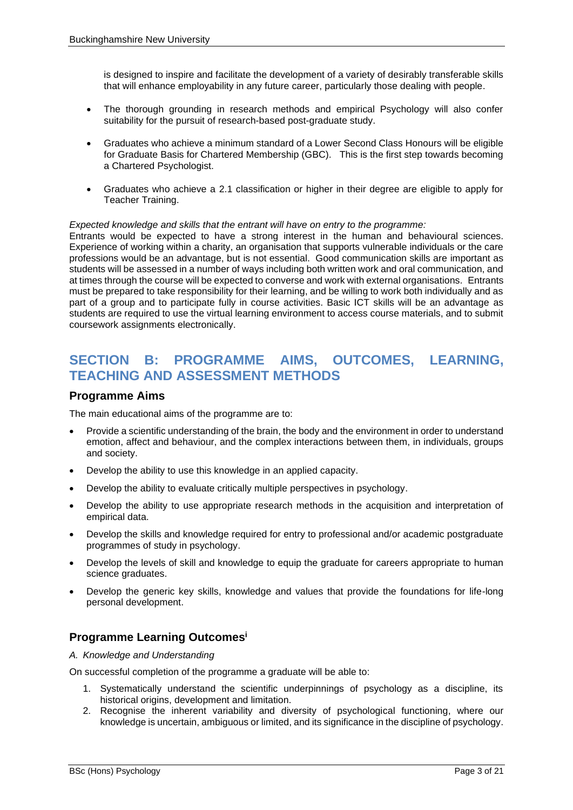is designed to inspire and facilitate the development of a variety of desirably transferable skills that will enhance employability in any future career, particularly those dealing with people.

- The thorough grounding in research methods and empirical Psychology will also confer suitability for the pursuit of research-based post-graduate study.
- Graduates who achieve a minimum standard of a Lower Second Class Honours will be eligible for Graduate Basis for Chartered Membership (GBC). This is the first step towards becoming a Chartered Psychologist.
- Graduates who achieve a 2.1 classification or higher in their degree are eligible to apply for Teacher Training.

#### *Expected knowledge and skills that the entrant will have on entry to the programme:*

Entrants would be expected to have a strong interest in the human and behavioural sciences. Experience of working within a charity, an organisation that supports vulnerable individuals or the care professions would be an advantage, but is not essential. Good communication skills are important as students will be assessed in a number of ways including both written work and oral communication, and at times through the course will be expected to converse and work with external organisations. Entrants must be prepared to take responsibility for their learning, and be willing to work both individually and as part of a group and to participate fully in course activities. Basic ICT skills will be an advantage as students are required to use the virtual learning environment to access course materials, and to submit coursework assignments electronically.

## **SECTION B: PROGRAMME AIMS, OUTCOMES, LEARNING, TEACHING AND ASSESSMENT METHODS**

### **Programme Aims**

The main educational aims of the programme are to:

- Provide a scientific understanding of the brain, the body and the environment in order to understand emotion, affect and behaviour, and the complex interactions between them, in individuals, groups and society.
- Develop the ability to use this knowledge in an applied capacity.
- Develop the ability to evaluate critically multiple perspectives in psychology.
- Develop the ability to use appropriate research methods in the acquisition and interpretation of empirical data.
- Develop the skills and knowledge required for entry to professional and/or academic postgraduate programmes of study in psychology.
- Develop the levels of skill and knowledge to equip the graduate for careers appropriate to human science graduates.
- Develop the generic key skills, knowledge and values that provide the foundations for life-long personal development.

### **Programme Learning Outcomes<sup>i</sup>**

#### *A. Knowledge and Understanding*

On successful completion of the programme a graduate will be able to:

- 1. Systematically understand the scientific underpinnings of psychology as a discipline, its historical origins, development and limitation.
- 2. Recognise the inherent variability and diversity of psychological functioning, where our knowledge is uncertain, ambiguous or limited, and its significance in the discipline of psychology.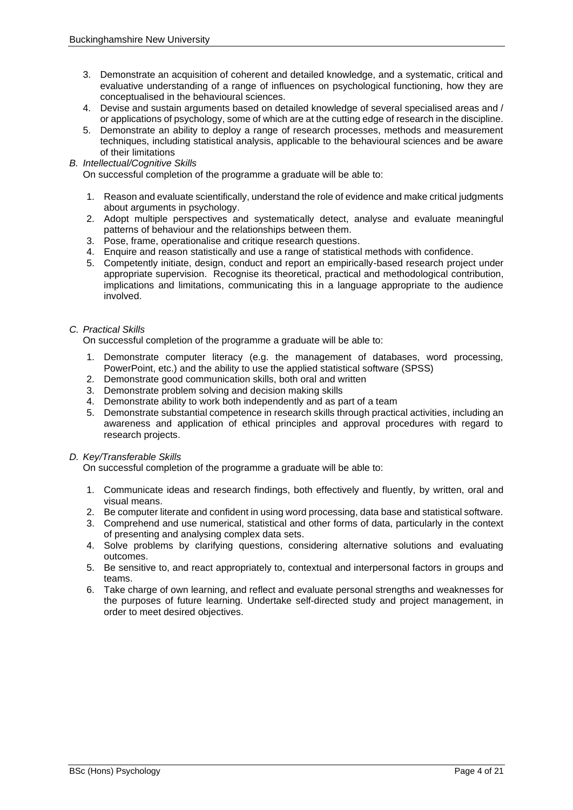- 3. Demonstrate an acquisition of coherent and detailed knowledge, and a systematic, critical and evaluative understanding of a range of influences on psychological functioning, how they are conceptualised in the behavioural sciences.
- 4. Devise and sustain arguments based on detailed knowledge of several specialised areas and / or applications of psychology, some of which are at the cutting edge of research in the discipline.
- 5. Demonstrate an ability to deploy a range of research processes, methods and measurement techniques, including statistical analysis, applicable to the behavioural sciences and be aware of their limitations
- *B. Intellectual/Cognitive Skills*

On successful completion of the programme a graduate will be able to:

- 1. Reason and evaluate scientifically, understand the role of evidence and make critical judgments about arguments in psychology.
- 2. Adopt multiple perspectives and systematically detect, analyse and evaluate meaningful patterns of behaviour and the relationships between them.
- 3. Pose, frame, operationalise and critique research questions.
- 4. Enquire and reason statistically and use a range of statistical methods with confidence.
- 5. Competently initiate, design, conduct and report an empirically-based research project under appropriate supervision. Recognise its theoretical, practical and methodological contribution, implications and limitations, communicating this in a language appropriate to the audience involved.

#### *C. Practical Skills*

On successful completion of the programme a graduate will be able to:

- 1. Demonstrate computer literacy (e.g. the management of databases, word processing, PowerPoint, etc.) and the ability to use the applied statistical software (SPSS)
- 2. Demonstrate good communication skills, both oral and written
- 3. Demonstrate problem solving and decision making skills
- 4. Demonstrate ability to work both independently and as part of a team
- 5. Demonstrate substantial competence in research skills through practical activities, including an awareness and application of ethical principles and approval procedures with regard to research projects.

#### *D. Key/Transferable Skills*

On successful completion of the programme a graduate will be able to:

- 1. Communicate ideas and research findings, both effectively and fluently, by written, oral and visual means.
- 2. Be computer literate and confident in using word processing, data base and statistical software.
- 3. Comprehend and use numerical, statistical and other forms of data, particularly in the context of presenting and analysing complex data sets.
- 4. Solve problems by clarifying questions, considering alternative solutions and evaluating outcomes.
- 5. Be sensitive to, and react appropriately to, contextual and interpersonal factors in groups and teams.
- 6. Take charge of own learning, and reflect and evaluate personal strengths and weaknesses for the purposes of future learning. Undertake self-directed study and project management, in order to meet desired objectives.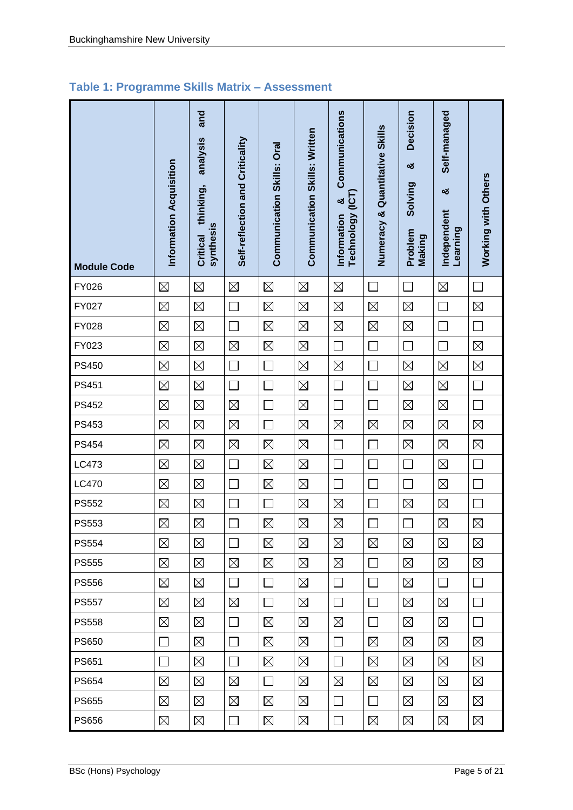## **Table 1: Programme Skills Matrix – Assessment**

| <b>Module Code</b> | Information Acquisition | and<br>analysis<br>thinking,<br>synthesis<br>Critical | Self-reflection and Criticality | Communication Skills: Oral | Communication Skills: Written | Communications<br><b>ECT</b><br>×<br><b>Technology</b><br>Information | Numeracy & Quantitative Skills | Decision<br>ಯ<br>Solving<br>Problem<br>Making | Self-managed<br>ಯ<br>Independent<br>Learning | Working with Others |
|--------------------|-------------------------|-------------------------------------------------------|---------------------------------|----------------------------|-------------------------------|-----------------------------------------------------------------------|--------------------------------|-----------------------------------------------|----------------------------------------------|---------------------|
| FY026              | $\boxtimes$             | $\boxtimes$                                           | $\boxtimes$                     | $\boxtimes$                | $\boxtimes$                   | $\boxtimes$                                                           | $\sim$                         | $\mathcal{L}_{\mathcal{A}}$                   | $\boxtimes$                                  | $\Box$              |
| FY027              | $\boxtimes$             | $\boxtimes$                                           |                                 | $\boxtimes$                | $\boxtimes$                   | $\boxtimes$                                                           | $\boxtimes$                    | $\boxtimes$                                   |                                              | $\boxtimes$         |
| FY028              | $\boxtimes$             | $\boxtimes$                                           |                                 | $\boxtimes$                | $\boxtimes$                   | $\boxtimes$                                                           | $\boxtimes$                    | $\boxtimes$                                   | $\Box$                                       | $\Box$              |
| FY023              | $\boxtimes$             | $\boxtimes$                                           | $\boxtimes$                     | $\boxtimes$                | $\boxtimes$                   | Г                                                                     | Г                              | П                                             | $\Box$                                       | $\boxtimes$         |
| <b>PS450</b>       | $\boxtimes$             | $\boxtimes$                                           |                                 | Ξ                          | $\boxtimes$                   | $\boxtimes$                                                           |                                | $\boxtimes$                                   | $\boxtimes$                                  | $\boxtimes$         |
| PS451              | $\boxtimes$             | $\boxtimes$                                           |                                 | L.                         | $\boxtimes$                   |                                                                       |                                | $\boxtimes$                                   | $\boxtimes$                                  | $\Box$              |
| <b>PS452</b>       | $\boxtimes$             | $\boxtimes$                                           | $\boxtimes$                     | П                          | $\boxtimes$                   |                                                                       |                                | $\boxtimes$                                   | $\boxtimes$                                  | $\Box$              |
| PS453              | $\boxtimes$             | $\boxtimes$                                           | $\boxtimes$                     |                            | $\boxtimes$                   | $\boxtimes$                                                           | $\boxtimes$                    | $\boxtimes$                                   | $\boxtimes$                                  | $\boxtimes$         |
| <b>PS454</b>       | $\boxtimes$             | $\boxtimes$                                           | $\boxtimes$                     | $\boxtimes$                | $\boxtimes$                   |                                                                       |                                | $\boxtimes$                                   | $\boxtimes$                                  | $\boxtimes$         |
| LC473              | $\boxtimes$             | $\boxtimes$                                           |                                 | $\boxtimes$                | $\boxtimes$                   |                                                                       |                                | Ξ                                             | $\boxtimes$                                  | $\Box$              |
| <b>LC470</b>       | $\boxtimes$             | $\boxtimes$                                           |                                 | $\boxtimes$                | $\boxtimes$                   |                                                                       |                                |                                               | $\boxtimes$                                  | $\Box$              |
| <b>PS552</b>       | $\boxtimes$             | $\boxtimes$                                           |                                 | Ξ                          | $\boxtimes$                   | $\boxtimes$                                                           |                                | $\boxtimes$                                   | $\boxtimes$                                  | $\Box$              |
| <b>PS553</b>       | $\boxtimes$             | $\boxtimes$                                           |                                 | $\boxtimes$                | $\boxtimes$                   | $\boxtimes$                                                           |                                |                                               | $\boxtimes$                                  | $\boxtimes$         |
| <b>PS554</b>       | $\boxtimes$             | $\boxtimes$                                           | $\sim$                          | $\boxtimes$                | $\boxtimes$                   | $\boxtimes$                                                           | $\boxtimes$                    | $\boxtimes$                                   | $\boxtimes$                                  | $\boxtimes$         |
| <b>PS555</b>       | $\boxtimes$             | ⊠                                                     | $\boxtimes$                     | $\boxtimes$                | $\boxtimes$                   | ⊠                                                                     | $\Box$                         | $\boxtimes$                                   | $\boxtimes$                                  | ⊠                   |
| <b>PS556</b>       | $\boxtimes$             | $\boxtimes$                                           | $\Box$                          | $\Box$                     | $\boxtimes$                   | $\Box$                                                                | $\Box$                         | $\boxtimes$                                   | $\Box$                                       | $\Box$              |
| <b>PS557</b>       | $\boxtimes$             | $\boxtimes$                                           | $\boxtimes$                     | $\Box$                     | $\boxtimes$                   | П                                                                     | $\Box$                         | $\boxtimes$                                   | $\boxtimes$                                  | $\Box$              |
| <b>PS558</b>       | $\boxtimes$             | $\boxtimes$                                           | $\sim$                          | $\boxtimes$                | $\boxtimes$                   | $\boxtimes$                                                           | $\Box$                         | $\boxtimes$                                   | $\boxtimes$                                  | $\Box$              |
| <b>PS650</b>       | ×                       | $\boxtimes$                                           |                                 | $\boxtimes$                | $\boxtimes$                   |                                                                       | $\boxtimes$                    | $\boxtimes$                                   | $\boxtimes$                                  | $\boxtimes$         |
| PS651              | $\sim$                  | $\boxtimes$                                           | $\mathcal{L}_{\mathcal{A}}$     | $\boxtimes$                | $\boxtimes$                   | П                                                                     | $\boxtimes$                    | $\boxtimes$                                   | $\boxtimes$                                  | $\boxtimes$         |
| <b>PS654</b>       | $\boxtimes$             | $\boxtimes$                                           | $\boxtimes$                     | П                          | $\boxtimes$                   | $\boxtimes$                                                           | $\boxtimes$                    | $\boxtimes$                                   | $\boxtimes$                                  | $\boxtimes$         |
| <b>PS655</b>       | $\boxtimes$             | $\boxtimes$                                           | $\boxtimes$                     | $\boxtimes$                | $\boxtimes$                   | $\Box$                                                                | $\Box$                         | $\boxtimes$                                   | $\boxtimes$                                  | $\boxtimes$         |
| <b>PS656</b>       | $\boxtimes$             | $\boxtimes$                                           | $\Box$                          | $\boxtimes$                | $\boxtimes$                   | $\mathcal{L}_{\mathcal{A}}$                                           | $\boxtimes$                    | $\boxtimes$                                   | $\boxtimes$                                  | $\boxtimes$         |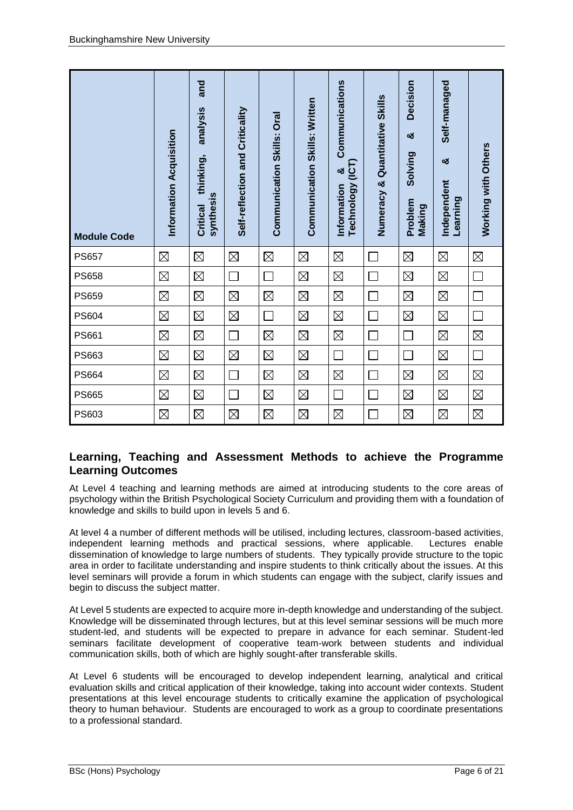| <b>Module Code</b> | Information Acquisition | and<br>analysis<br>thinking,<br>synthesis<br>Critical | Self-reflection and Criticality | Communication Skills: Oral | <b>Communication Skills: Written</b> | Communications<br><b>ICT</b><br>ೲ<br>Technology<br>Information | Numeracy & Quantitative Skills | <b>Decision</b><br>ಯ<br>Solving<br>Problem<br>Making | Self-managed<br>ಯ<br>Independent<br>Learning | Working with Others |
|--------------------|-------------------------|-------------------------------------------------------|---------------------------------|----------------------------|--------------------------------------|----------------------------------------------------------------|--------------------------------|------------------------------------------------------|----------------------------------------------|---------------------|
| <b>PS657</b>       | $\boxtimes$             | $\boxtimes$                                           | $\boxtimes$                     | $\boxtimes$                | $\boxtimes$                          | $\boxtimes$                                                    |                                | $\boxtimes$                                          | $\boxtimes$                                  | $\boxtimes$         |
| <b>PS658</b>       | $\boxtimes$             | $\boxtimes$                                           |                                 | $\mathbf{L}$               | $\boxtimes$                          | $\boxtimes$                                                    |                                | $\boxtimes$                                          | $\boxtimes$                                  |                     |
| <b>PS659</b>       | $\boxtimes$             | $\boxtimes$                                           | $\boxtimes$                     | $\boxtimes$                | $\boxtimes$                          | $\boxtimes$                                                    |                                | $\boxtimes$                                          | $\boxtimes$                                  | Г                   |
| <b>PS604</b>       | $\boxtimes$             | $\boxtimes$                                           | $\boxtimes$                     | $\Box$                     | $\boxtimes$                          | $\boxtimes$                                                    |                                | $\boxtimes$                                          | $\boxtimes$                                  | Г                   |
| PS661              | $\boxtimes$             | $\boxtimes$                                           | $\Box$                          | $\boxtimes$                | $\boxtimes$                          | $\boxtimes$                                                    | ┌                              |                                                      | $\boxtimes$                                  | $\boxtimes$         |
| PS663              | $\boxtimes$             | $\boxtimes$                                           | $\boxtimes$                     | $\boxtimes$                | $\boxtimes$                          | $\Box$                                                         |                                | $\Box$                                               | $\boxtimes$                                  | $\Box$              |
| <b>PS664</b>       | $\boxtimes$             | $\boxtimes$                                           | $\Box$                          | $\boxtimes$                | $\boxtimes$                          | $\boxtimes$                                                    |                                | $\boxtimes$                                          | $\boxtimes$                                  | $\boxtimes$         |
| <b>PS665</b>       | $\boxtimes$             | $\boxtimes$                                           |                                 | $\boxtimes$                | $\boxtimes$                          |                                                                |                                | $\boxtimes$                                          | $\boxtimes$                                  | $\boxtimes$         |
| PS603              | $\boxtimes$             | $\boxtimes$                                           | $\boxtimes$                     | $\boxtimes$                | $\boxtimes$                          | $\boxtimes$                                                    |                                | $\boxtimes$                                          | $\boxtimes$                                  | $\boxtimes$         |

## **Learning, Teaching and Assessment Methods to achieve the Programme Learning Outcomes**

At Level 4 teaching and learning methods are aimed at introducing students to the core areas of psychology within the British Psychological Society Curriculum and providing them with a foundation of knowledge and skills to build upon in levels 5 and 6.

At level 4 a number of different methods will be utilised, including lectures, classroom-based activities, independent learning methods and practical sessions, where applicable. Lectures enable dissemination of knowledge to large numbers of students. They typically provide structure to the topic area in order to facilitate understanding and inspire students to think critically about the issues. At this level seminars will provide a forum in which students can engage with the subject, clarify issues and begin to discuss the subject matter.

At Level 5 students are expected to acquire more in-depth knowledge and understanding of the subject. Knowledge will be disseminated through lectures, but at this level seminar sessions will be much more student-led, and students will be expected to prepare in advance for each seminar. Student-led seminars facilitate development of cooperative team-work between students and individual communication skills, both of which are highly sought-after transferable skills.

At Level 6 students will be encouraged to develop independent learning, analytical and critical evaluation skills and critical application of their knowledge, taking into account wider contexts. Student presentations at this level encourage students to critically examine the application of psychological theory to human behaviour. Students are encouraged to work as a group to coordinate presentations to a professional standard.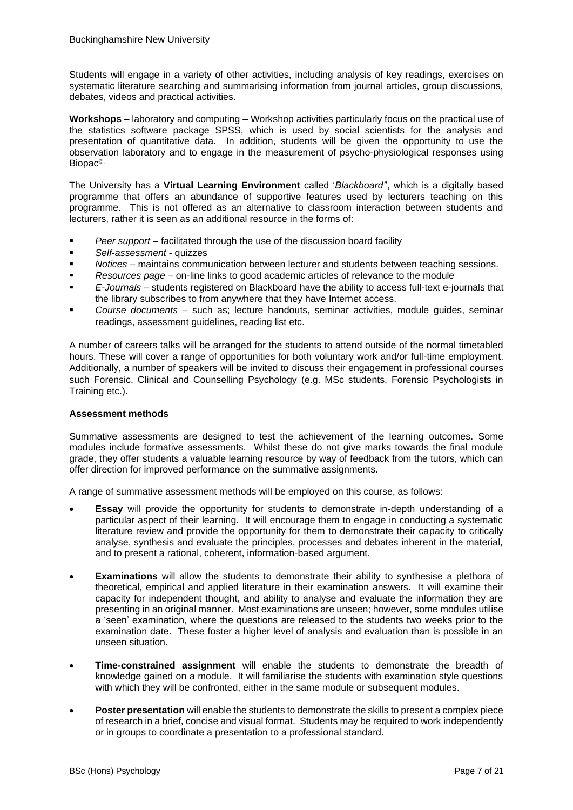Students will engage in a variety of other activities, including analysis of key readings, exercises on systematic literature searching and summarising information from journal articles, group discussions, debates, videos and practical activities.

**Workshops** – laboratory and computing – Workshop activities particularly focus on the practical use of the statistics software package SPSS, which is used by social scientists for the analysis and presentation of quantitative data. In addition, students will be given the opportunity to use the observation laboratory and to engage in the measurement of psycho-physiological responses using Biopac©.

The University has a **Virtual Learning Environment** called '*Blackboard'*', which is a digitally based programme that offers an abundance of supportive features used by lecturers teaching on this programme. This is not offered as an alternative to classroom interaction between students and lecturers, rather it is seen as an additional resource in the forms of:

- Peer support facilitated through the use of the discussion board facility
- *Self-assessment* quizzes
- *Notices* maintains communication between lecturer and students between teaching sessions.
- *Resources page* on-line links to good academic articles of relevance to the module
- *E-Journals* students registered on Blackboard have the ability to access full-text e-journals that the library subscribes to from anywhere that they have Internet access.
- *Course documents*  such as; lecture handouts, seminar activities, module guides, seminar readings, assessment guidelines, reading list etc.

A number of careers talks will be arranged for the students to attend outside of the normal timetabled hours. These will cover a range of opportunities for both voluntary work and/or full-time employment. Additionally, a number of speakers will be invited to discuss their engagement in professional courses such Forensic, Clinical and Counselling Psychology (e.g. MSc students, Forensic Psychologists in Training etc.).

#### **Assessment methods**

Summative assessments are designed to test the achievement of the learning outcomes. Some modules include formative assessments. Whilst these do not give marks towards the final module grade, they offer students a valuable learning resource by way of feedback from the tutors, which can offer direction for improved performance on the summative assignments.

A range of summative assessment methods will be employed on this course, as follows:

- **Essay** will provide the opportunity for students to demonstrate in-depth understanding of a particular aspect of their learning. It will encourage them to engage in conducting a systematic literature review and provide the opportunity for them to demonstrate their capacity to critically analyse, synthesis and evaluate the principles, processes and debates inherent in the material, and to present a rational, coherent, information-based argument.
- **Examinations** will allow the students to demonstrate their ability to synthesise a plethora of theoretical, empirical and applied literature in their examination answers. It will examine their capacity for independent thought, and ability to analyse and evaluate the information they are presenting in an original manner. Most examinations are unseen; however, some modules utilise a 'seen' examination, where the questions are released to the students two weeks prior to the examination date. These foster a higher level of analysis and evaluation than is possible in an unseen situation.
- **Time-constrained assignment** will enable the students to demonstrate the breadth of knowledge gained on a module. It will familiarise the students with examination style questions with which they will be confronted, either in the same module or subsequent modules.
- **Poster presentation** will enable the students to demonstrate the skills to present a complex piece of research in a brief, concise and visual format. Students may be required to work independently or in groups to coordinate a presentation to a professional standard.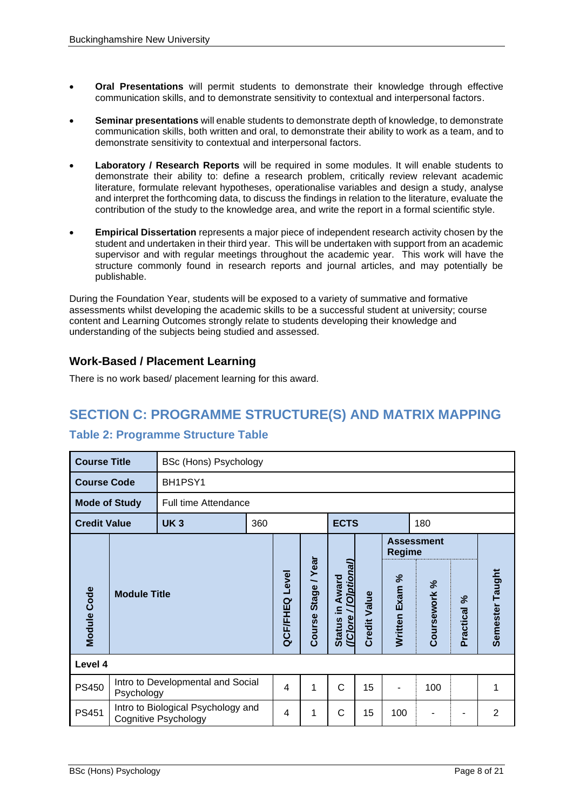- **Oral Presentations** will permit students to demonstrate their knowledge through effective communication skills, and to demonstrate sensitivity to contextual and interpersonal factors.
- **Seminar presentations** will enable students to demonstrate depth of knowledge, to demonstrate communication skills, both written and oral, to demonstrate their ability to work as a team, and to demonstrate sensitivity to contextual and interpersonal factors.
- **Laboratory / Research Reports** will be required in some modules. It will enable students to demonstrate their ability to: define a research problem, critically review relevant academic literature, formulate relevant hypotheses, operationalise variables and design a study, analyse and interpret the forthcoming data, to discuss the findings in relation to the literature, evaluate the contribution of the study to the knowledge area, and write the report in a formal scientific style.
- **Empirical Dissertation** represents a major piece of independent research activity chosen by the student and undertaken in their third year. This will be undertaken with support from an academic supervisor and with regular meetings throughout the academic year. This work will have the structure commonly found in research reports and journal articles, and may potentially be publishable.

During the Foundation Year, students will be exposed to a variety of summative and formative assessments whilst developing the academic skills to be a successful student at university; course content and Learning Outcomes strongly relate to students developing their knowledge and understanding of the subjects being studied and assessed.

## **Work-Based / Placement Learning**

There is no work based/ placement learning for this award.

## **SECTION C: PROGRAMME STRUCTURE(S) AND MATRIX MAPPING**

## **Table 2: Programme Structure Table**

| <b>Course Title</b>  |                     | BSc (Hons) Psychology                                      |     |                   |                          |                                                                      |                     |                |                   |             |                 |  |
|----------------------|---------------------|------------------------------------------------------------|-----|-------------------|--------------------------|----------------------------------------------------------------------|---------------------|----------------|-------------------|-------------|-----------------|--|
| <b>Course Code</b>   |                     | BH1PSY1                                                    |     |                   |                          |                                                                      |                     |                |                   |             |                 |  |
| <b>Mode of Study</b> |                     | <b>Full time Attendance</b>                                |     |                   |                          |                                                                      |                     |                |                   |             |                 |  |
| <b>Credit Value</b>  |                     | <b>UK3</b>                                                 | 360 |                   |                          | <b>ECTS</b>                                                          |                     |                | 180               |             |                 |  |
|                      |                     |                                                            |     |                   |                          |                                                                      |                     | <b>Regime</b>  | <b>Assessment</b> |             |                 |  |
| <b>Module Code</b>   | <b>Module Title</b> |                                                            |     | Level<br>QCF/FHEQ | /Year<br>Stage<br>Course | <b>Colptional</b><br>Award<br>$\subseteq$<br>(Clore<br><b>Status</b> | <b>Credit Value</b> | Written Exam % | Coursework %      | Practical % | Semester Taught |  |
| Level 4              |                     |                                                            |     |                   |                          |                                                                      |                     |                |                   |             |                 |  |
| <b>PS450</b>         | Psychology          | Intro to Developmental and Social                          |     | 4                 | 1                        | Ċ                                                                    | 15                  |                | 100               |             | 1               |  |
| PS451                |                     | Intro to Biological Psychology and<br>Cognitive Psychology |     |                   | 1                        | C                                                                    | 15                  | 100            |                   |             | $\overline{2}$  |  |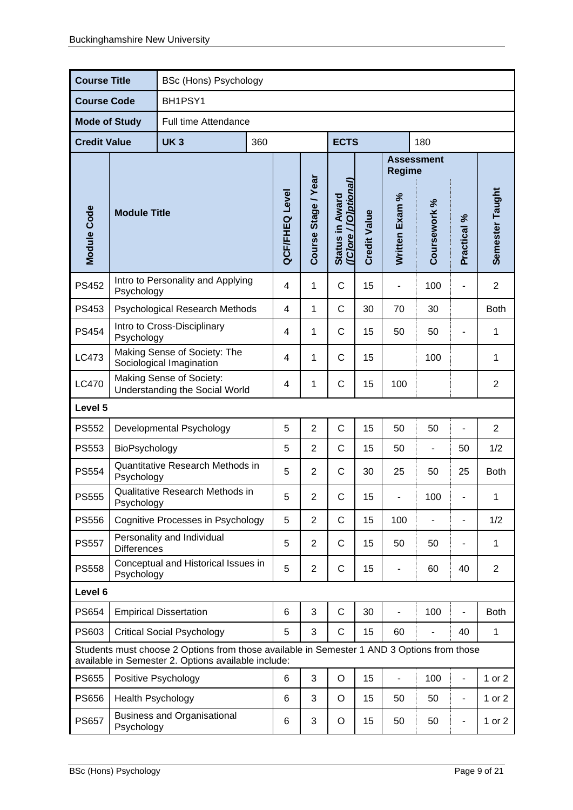| <b>Course Title</b>  |                                                                                                                                                   | BSc (Hons) Psychology                    |                |                       |                     |                                                  |                     |                          |                          |                          |                 |
|----------------------|---------------------------------------------------------------------------------------------------------------------------------------------------|------------------------------------------|----------------|-----------------------|---------------------|--------------------------------------------------|---------------------|--------------------------|--------------------------|--------------------------|-----------------|
| <b>Course Code</b>   |                                                                                                                                                   | BH1PSY1                                  |                |                       |                     |                                                  |                     |                          |                          |                          |                 |
| <b>Mode of Study</b> |                                                                                                                                                   | Full time Attendance                     |                |                       |                     |                                                  |                     |                          |                          |                          |                 |
| <b>Credit Value</b>  |                                                                                                                                                   | <b>UK3</b>                               | 360            |                       |                     | <b>ECTS</b>                                      |                     |                          | 180                      |                          |                 |
|                      |                                                                                                                                                   |                                          |                |                       |                     |                                                  |                     | <b>Regime</b>            | <b>Assessment</b>        |                          |                 |
| Module Code          | <b>Module Title</b>                                                                                                                               |                                          |                | <b>QCF/FHEQ Level</b> | Course Stage / Year | Status in Award<br>( <u>[C]ore / [O]ptional)</u> | <b>Credit Value</b> | Written Exam %           | Coursework %             | Practical %              | Semester Taught |
| <b>PS452</b>         | Psychology                                                                                                                                        | Intro to Personality and Applying        |                | $\overline{4}$        | 1                   | $\mathsf{C}$                                     | 15                  |                          | 100                      | $\blacksquare$           | $\overline{2}$  |
| PS453                |                                                                                                                                                   | <b>Psychological Research Methods</b>    |                | $\overline{4}$        | 1                   | $\mathsf{C}$                                     | 30                  | 70                       | 30                       |                          | <b>Both</b>     |
| <b>PS454</b>         | Intro to Cross-Disciplinary<br>Psychology                                                                                                         |                                          | $\overline{4}$ | 1                     | $\mathsf{C}$        | 15                                               | 50                  | 50                       |                          | 1                        |                 |
| LC473                | Making Sense of Society: The<br>Sociological Imagination                                                                                          |                                          | 4              | 1                     | $\mathsf{C}$        | 15                                               |                     | 100                      |                          | 1                        |                 |
| LC470                | Making Sense of Society:<br>Understanding the Social World                                                                                        |                                          |                |                       | 1                   | $\mathsf C$                                      | 15                  | 100                      |                          |                          | $\overline{2}$  |
| Level 5              |                                                                                                                                                   |                                          |                |                       |                     |                                                  |                     |                          |                          |                          |                 |
| <b>PS552</b>         |                                                                                                                                                   | Developmental Psychology                 |                | 5                     | $\overline{2}$      | $\mathsf C$                                      | 15                  | 50                       | 50                       | L,                       | 2               |
| <b>PS553</b>         | BioPsychology                                                                                                                                     |                                          |                | 5                     | $\overline{2}$      | C                                                | 15                  | 50                       |                          | 50                       | 1/2             |
| <b>PS554</b>         | Psychology                                                                                                                                        | Quantitative Research Methods in         |                | 5                     | $\overline{2}$      | C                                                | 30                  | 25                       | 50                       | 25                       | <b>Both</b>     |
| <b>PS555</b>         | Psychology                                                                                                                                        | Qualitative Research Methods in          |                | 5                     | $\overline{c}$      | $\mathsf C$                                      | 15                  |                          | 100                      |                          | 1               |
| <b>PS556</b>         |                                                                                                                                                   | <b>Cognitive Processes in Psychology</b> |                | 5                     | $\overline{2}$      | C                                                | 15                  | 100                      |                          | $\overline{\phantom{a}}$ | 1/2             |
| <b>PS557</b>         | <b>Differences</b>                                                                                                                                | Personality and Individual               |                | 5                     | $\overline{2}$      | C                                                | 15                  | 50                       | 50                       |                          | 1               |
| <b>PS558</b>         | Psychology                                                                                                                                        | Conceptual and Historical Issues in      |                | 5                     | $\overline{2}$      | C                                                | 15                  |                          | 60                       | 40                       | $\overline{2}$  |
| Level 6              |                                                                                                                                                   |                                          |                |                       |                     |                                                  |                     |                          |                          |                          |                 |
| <b>PS654</b>         |                                                                                                                                                   | <b>Empirical Dissertation</b>            |                | 6                     | 3                   | $\mathsf C$                                      | 30                  | $\overline{\phantom{0}}$ | 100                      | $\overline{a}$           | <b>Both</b>     |
| PS603                | <b>Critical Social Psychology</b>                                                                                                                 |                                          |                | 5                     | 3                   | C                                                | 15                  | 60                       | $\blacksquare$           | 40                       | 1               |
|                      | Students must choose 2 Options from those available in Semester 1 AND 3 Options from those<br>available in Semester 2. Options available include: |                                          |                |                       |                     |                                                  |                     |                          |                          |                          |                 |
| <b>PS655</b>         |                                                                                                                                                   | Positive Psychology                      |                | 6                     | 3                   | $\bigcirc$                                       | 15                  | $\blacksquare$           | 100                      | $\overline{\phantom{a}}$ | 1 or 2          |
| <b>PS656</b>         | Health Psychology                                                                                                                                 |                                          | 6              | 3                     | O                   | 15                                               | 50                  | 50                       | $\frac{1}{2}$            | 1 or 2                   |                 |
| <b>PS657</b>         | <b>Business and Organisational</b><br>Psychology                                                                                                  |                                          | 6              | 3                     | O                   | 15                                               | 50                  | 50                       | $\overline{\phantom{0}}$ | 1 or $2$                 |                 |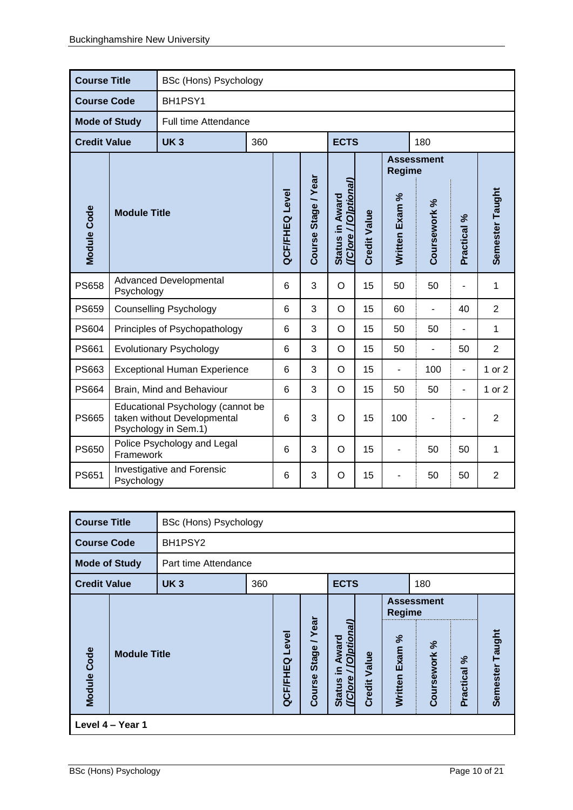|                      | <b>Course Title</b><br><b>BSc (Hons) Psychology</b><br><b>Course Code</b>                |                                     |                |                     |                                         |                     |                |                |                   |                          |                |
|----------------------|------------------------------------------------------------------------------------------|-------------------------------------|----------------|---------------------|-----------------------------------------|---------------------|----------------|----------------|-------------------|--------------------------|----------------|
|                      |                                                                                          | BH1PSY1                             |                |                     |                                         |                     |                |                |                   |                          |                |
| <b>Mode of Study</b> |                                                                                          | Full time Attendance                |                |                     |                                         |                     |                |                |                   |                          |                |
| <b>Credit Value</b>  |                                                                                          | <b>UK3</b>                          | 360            |                     |                                         | <b>ECTS</b>         |                |                | 180               |                          |                |
|                      |                                                                                          |                                     |                |                     |                                         |                     |                | <b>Regime</b>  | <b>Assessment</b> |                          |                |
| <b>Module Code</b>   | <b>Module Title</b>                                                                      |                                     | QCF/FHEQ Level | Course Stage / Year | (Clore / [Olptional)<br>Status in Award | <b>Credit Value</b> | Written Exam % | Coursework %   | Practical %       | Semester Taught          |                |
| <b>PS658</b>         | Psychology                                                                               | <b>Advanced Developmental</b>       |                | 6                   | 3                                       | O                   | 15             | 50             | 50                | $\blacksquare$           | $\mathbf{1}$   |
| <b>PS659</b>         |                                                                                          | <b>Counselling Psychology</b>       |                | 6                   | 3                                       | $\circ$             | 15             | 60             | $\blacksquare$    | 40                       | $\overline{2}$ |
| <b>PS604</b>         |                                                                                          | Principles of Psychopathology       |                | 6                   | 3                                       | $\circ$             | 15             | 50             | 50                | $\overline{\phantom{a}}$ | 1              |
| PS661                |                                                                                          | <b>Evolutionary Psychology</b>      |                | 6                   | 3                                       | $\circ$             | 15             | 50             | ä,                | 50                       | $\overline{2}$ |
| PS663                |                                                                                          | <b>Exceptional Human Experience</b> |                | 6                   | 3                                       | $\circ$             | 15             | $\overline{a}$ | 100               | $\overline{\phantom{a}}$ | 1 or 2         |
| <b>PS664</b>         |                                                                                          | Brain, Mind and Behaviour           |                | 6                   | 3                                       | $\circ$             | 15             | 50             | 50                | $\blacksquare$           | 1 or 2         |
| <b>PS665</b>         | Educational Psychology (cannot be<br>taken without Developmental<br>Psychology in Sem.1) |                                     |                | 6                   | 3                                       | O                   | 15             | 100            |                   |                          | $\overline{2}$ |
| <b>PS650</b>         | Police Psychology and Legal<br>Framework                                                 |                                     |                | 6                   | 3                                       | O                   | 15             | $\overline{a}$ | 50                | 50                       | 1              |
| PS651                | Investigative and Forensic<br>Psychology                                                 |                                     |                | 6                   | 3                                       | O                   | 15             |                | 50                | 50                       | $\overline{2}$ |

| <b>Course Title</b>  |                     | BSc (Hons) Psychology |     |                   |                                                     |                                                             |                     |                                    |                                   |                 |                 |
|----------------------|---------------------|-----------------------|-----|-------------------|-----------------------------------------------------|-------------------------------------------------------------|---------------------|------------------------------------|-----------------------------------|-----------------|-----------------|
| <b>Course Code</b>   |                     | BH1PSY2               |     |                   |                                                     |                                                             |                     |                                    |                                   |                 |                 |
| <b>Mode of Study</b> |                     | Part time Attendance  |     |                   |                                                     |                                                             |                     |                                    |                                   |                 |                 |
| <b>Credit Value</b>  |                     | <b>UK3</b>            | 360 |                   |                                                     | <b>ECTS</b>                                                 |                     |                                    | 180                               |                 |                 |
| Module Code          | <b>Module Title</b> |                       |     | Level<br>QCF/FHEQ | Year<br>$\overline{\phantom{0}}$<br>Stage<br>Course | <b>Olptional</b><br>Award<br>크.<br>(Clore)<br><b>Status</b> | <b>Credit Value</b> | <b>Regime</b><br>Exam %<br>Written | <b>Assessment</b><br>Coursework % | వ్<br>Practical | Semester Taught |
|                      | Level 4 - Year 1    |                       |     |                   |                                                     |                                                             |                     |                                    |                                   |                 |                 |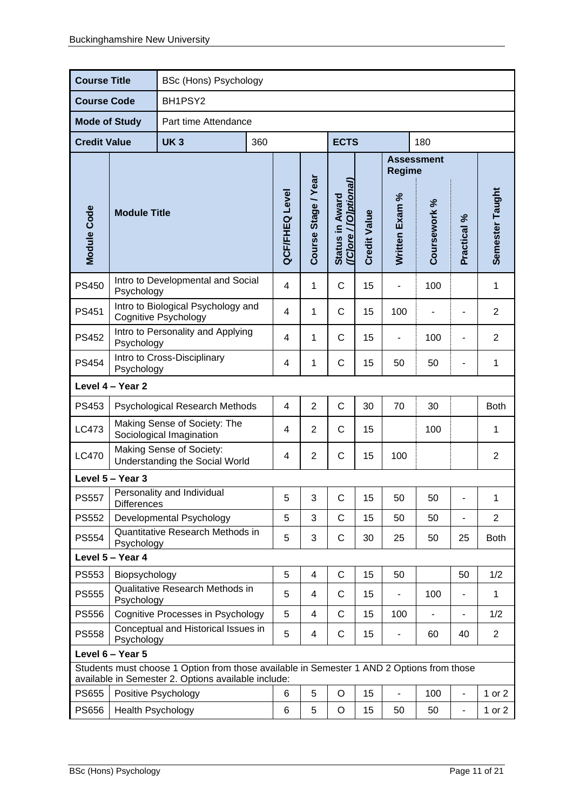| <b>Course Title</b>  | BSc (Hons) Psychology                                                                                                                            |                                                            |     |                       |                     |                                                 |                     |                              |                   |                          |                 |
|----------------------|--------------------------------------------------------------------------------------------------------------------------------------------------|------------------------------------------------------------|-----|-----------------------|---------------------|-------------------------------------------------|---------------------|------------------------------|-------------------|--------------------------|-----------------|
| <b>Course Code</b>   |                                                                                                                                                  | BH1PSY2                                                    |     |                       |                     |                                                 |                     |                              |                   |                          |                 |
| <b>Mode of Study</b> |                                                                                                                                                  | Part time Attendance                                       |     |                       |                     |                                                 |                     |                              |                   |                          |                 |
| <b>Credit Value</b>  |                                                                                                                                                  | <b>UK3</b>                                                 | 360 |                       |                     | <b>ECTS</b>                                     |                     |                              | 180               |                          |                 |
|                      |                                                                                                                                                  |                                                            |     |                       |                     |                                                 |                     | <b>Regime</b>                | <b>Assessment</b> |                          |                 |
| Module Code          | <b>Module Title</b>                                                                                                                              |                                                            |     | <b>QCF/FHEQ Level</b> | Course Stage / Year | Status in Award<br><u>(IC]ore / [O]ptional)</u> | <b>Credit Value</b> | Written Exam %               | Coursework %      | Practical %              | Semester Taught |
| <b>PS450</b>         | Intro to Developmental and Social<br>Psychology                                                                                                  | $\overline{4}$                                             | 1   | $\mathsf{C}$          | 15                  |                                                 | 100                 |                              | 1                 |                          |                 |
| <b>PS451</b>         | Intro to Biological Psychology and<br><b>Cognitive Psychology</b>                                                                                | 4                                                          | 1   | $\mathsf{C}$          | 15                  | 100                                             |                     |                              | $\overline{2}$    |                          |                 |
| <b>PS452</b>         | Intro to Personality and Applying<br>Psychology                                                                                                  | 4                                                          | 1   | $\mathsf{C}$          | 15                  | $\blacksquare$                                  | 100                 | $\overline{\phantom{0}}$     | $\overline{2}$    |                          |                 |
| <b>PS454</b>         | Intro to Cross-Disciplinary<br>Psychology                                                                                                        |                                                            |     |                       | 1                   | $\mathsf C$                                     | 15                  | 50                           | 50                |                          | 1               |
|                      | Level 4 - Year 2                                                                                                                                 |                                                            |     |                       |                     |                                                 |                     |                              |                   |                          |                 |
| PS453                |                                                                                                                                                  | Psychological Research Methods                             |     | 4                     | $\overline{2}$      | $\mathsf{C}$                                    | 30                  | 70                           | 30                |                          | <b>Both</b>     |
| LC473                |                                                                                                                                                  | Making Sense of Society: The<br>Sociological Imagination   |     | 4                     | $\overline{2}$      | $\mathsf{C}$                                    | 15                  |                              | 100               |                          | 1               |
| <b>LC470</b>         |                                                                                                                                                  | Making Sense of Society:<br>Understanding the Social World |     | 4                     | $\overline{2}$      | $\mathsf C$                                     | 15                  | 100                          |                   |                          | $\overline{2}$  |
|                      | Level 5 - Year 3                                                                                                                                 |                                                            |     |                       |                     |                                                 |                     |                              |                   |                          |                 |
| <b>PS557</b>         | <b>Differences</b>                                                                                                                               | Personality and Individual                                 |     | 5                     | 3                   | $\mathsf{C}$                                    | 15                  | 50                           | 50                |                          | 1               |
| <b>PS552</b>         |                                                                                                                                                  | Developmental Psychology                                   |     | 5                     | 3                   | C                                               | 15                  | 50                           | 50                |                          | $\overline{2}$  |
| <b>PS554</b>         | Psychology                                                                                                                                       | Quantitative Research Methods in                           |     | 5                     | 3                   | $\mathsf C$                                     | 30                  | 25                           | 50                | 25                       | <b>Both</b>     |
|                      | Level 5 - Year 4                                                                                                                                 |                                                            |     |                       |                     |                                                 |                     |                              |                   |                          |                 |
| PS553                | Biopsychology                                                                                                                                    |                                                            |     | 5                     | 4                   | $\mathsf C$                                     | 15                  | 50                           |                   | 50                       | 1/2             |
| <b>PS555</b>         |                                                                                                                                                  | Qualitative Research Methods in<br>Psychology              |     |                       |                     | $\mathsf{C}$                                    | 15                  | $\qquad \qquad \blacksquare$ | 100               |                          | 1               |
| <b>PS556</b>         | <b>Cognitive Processes in Psychology</b>                                                                                                         |                                                            |     | 5                     | 4                   | $\mathsf{C}$                                    | 15                  | 100                          |                   | $\overline{\phantom{0}}$ | 1/2             |
| <b>PS558</b>         | Conceptual and Historical Issues in<br>Psychology                                                                                                |                                                            |     |                       | 4                   | C                                               | 15                  |                              | 60                | 40                       | $\overline{2}$  |
|                      | Level 6 - Year 5                                                                                                                                 |                                                            |     |                       |                     |                                                 |                     |                              |                   |                          |                 |
|                      | Students must choose 1 Option from those available in Semester 1 AND 2 Options from those<br>available in Semester 2. Options available include: |                                                            |     |                       |                     |                                                 |                     |                              |                   |                          |                 |
| <b>PS655</b>         | Positive Psychology                                                                                                                              |                                                            |     |                       | 5                   | O                                               | 15                  | $\blacksquare$               | 100               | $\frac{1}{2}$            | 1 or 2          |
| <b>PS656</b>         | Health Psychology                                                                                                                                |                                                            | 6   | 5                     | O                   | 15                                              | 50                  | 50                           | $\blacksquare$    | 1 or 2                   |                 |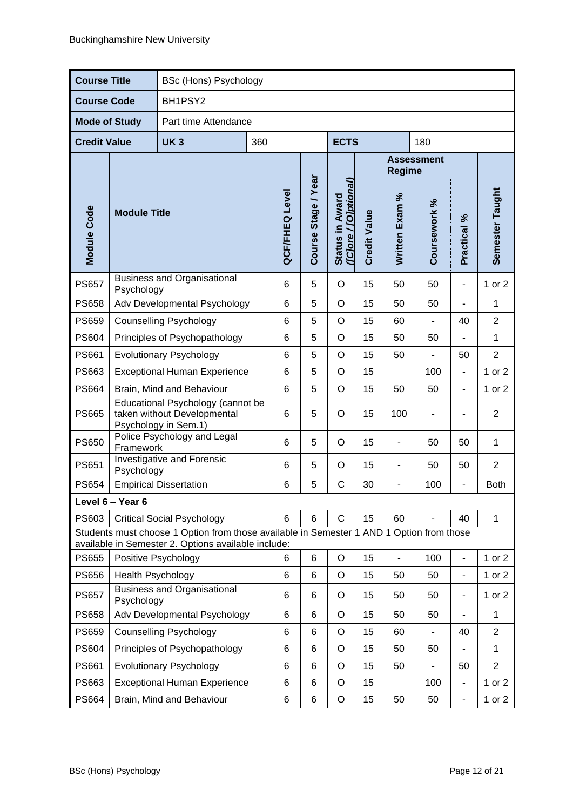|                      | <b>Course Title</b><br><b>BSc (Hons) Psychology</b> |                                                                                                                                                 |     |                       |                     |                                          |                     |                          |                   |                              |                 |
|----------------------|-----------------------------------------------------|-------------------------------------------------------------------------------------------------------------------------------------------------|-----|-----------------------|---------------------|------------------------------------------|---------------------|--------------------------|-------------------|------------------------------|-----------------|
| <b>Course Code</b>   |                                                     | BH1PSY2                                                                                                                                         |     |                       |                     |                                          |                     |                          |                   |                              |                 |
| <b>Mode of Study</b> |                                                     | Part time Attendance                                                                                                                            |     |                       |                     |                                          |                     |                          |                   |                              |                 |
| <b>Credit Value</b>  |                                                     | <b>UK3</b>                                                                                                                                      | 360 |                       |                     | <b>ECTS</b>                              |                     |                          | 180               |                              |                 |
|                      |                                                     |                                                                                                                                                 |     |                       |                     |                                          |                     | <b>Regime</b>            | <b>Assessment</b> |                              |                 |
| <b>Module Code</b>   | <b>Module Title</b>                                 |                                                                                                                                                 |     | <b>QCF/FHEQ Level</b> | Course Stage / Year | ([C]ore / [O]ptional]<br>Status in Award | <b>Credit Value</b> | Written Exam %           | Coursework %      | Practical %                  | Semester Taught |
| <b>PS657</b>         | Psychology                                          | <b>Business and Organisational</b>                                                                                                              |     | 6                     | 5                   | $\circ$                                  | 15                  | 50                       | 50                | $\overline{\phantom{a}}$     | 1 or 2          |
| <b>PS658</b>         |                                                     | Adv Developmental Psychology                                                                                                                    |     |                       |                     | $\circ$                                  | 15                  | 50                       | 50                |                              | 1               |
| <b>PS659</b>         | <b>Counselling Psychology</b>                       |                                                                                                                                                 | 6   | 5                     | $\circ$             | 15                                       | 60                  | $\blacksquare$           | 40                | $\overline{2}$               |                 |
| <b>PS604</b>         | Principles of Psychopathology                       |                                                                                                                                                 | 6   | 5                     | $\circ$             | 15                                       | 50                  | 50                       | Ĭ.                | 1                            |                 |
| <b>PS661</b>         | <b>Evolutionary Psychology</b>                      |                                                                                                                                                 | 6   | 5                     | $\circ$             | 15                                       | 50                  |                          | 50                | $\overline{2}$               |                 |
| PS663                |                                                     | <b>Exceptional Human Experience</b>                                                                                                             |     | 6                     | 5                   | $\circ$                                  | 15                  |                          | 100               | $\overline{a}$               | 1 or $2$        |
| PS664                |                                                     | Brain, Mind and Behaviour                                                                                                                       |     | 6                     | 5                   | $\circ$                                  | 15                  | 50                       | 50                | $\overline{\phantom{a}}$     | 1 or 2          |
| <b>PS665</b>         |                                                     | Educational Psychology (cannot be<br>taken without Developmental<br>Psychology in Sem.1)                                                        |     | 6                     | 5                   | O                                        | 15                  | 100                      |                   |                              | $\overline{2}$  |
| <b>PS650</b>         | Framework                                           | Police Psychology and Legal                                                                                                                     |     | 6                     | 5                   | $\circ$                                  | 15                  | $\overline{a}$           | 50                | 50                           | 1               |
| PS651                | Psychology                                          | Investigative and Forensic                                                                                                                      |     | 6                     | 5                   | O                                        | 15                  | $\blacksquare$           | 50                | 50                           | $\overline{2}$  |
| <b>PS654</b>         |                                                     | <b>Empirical Dissertation</b>                                                                                                                   |     | 6                     | 5                   | $\mathsf{C}$                             | 30                  | $\overline{\phantom{0}}$ | 100               | $\overline{\phantom{0}}$     | <b>Both</b>     |
|                      | Level 6 - Year 6                                    |                                                                                                                                                 |     |                       |                     |                                          |                     |                          |                   |                              |                 |
| PS603                |                                                     | <b>Critical Social Psychology</b>                                                                                                               |     | 6                     | 6                   | $\mathsf C$                              | 15                  | 60                       |                   | 40                           | 1               |
|                      |                                                     | Students must choose 1 Option from those available in Semester 1 AND 1 Option from those<br>available in Semester 2. Options available include: |     |                       |                     |                                          |                     |                          |                   |                              |                 |
| <b>PS655</b>         |                                                     | Positive Psychology                                                                                                                             |     | 6                     | 6                   | $\circ$                                  | 15                  | $\overline{a}$           | 100               | $\frac{1}{2}$                | 1 or 2          |
| <b>PS656</b>         | Health Psychology                                   |                                                                                                                                                 |     | 6                     | 6                   | $\circ$                                  | 15                  | 50                       | 50                | $\overline{\phantom{a}}$     | 1 or 2          |
| <b>PS657</b>         | <b>Business and Organisational</b><br>Psychology    |                                                                                                                                                 |     | 6                     | 6                   | O                                        | 15                  | 50                       | 50                | $\qquad \qquad \blacksquare$ | 1 or 2          |
| <b>PS658</b>         | Adv Developmental Psychology                        |                                                                                                                                                 |     | 6                     | 6                   | $\circ$                                  | 15                  | 50                       | 50                | L,                           | 1               |
| <b>PS659</b>         | <b>Counselling Psychology</b>                       |                                                                                                                                                 |     | 6                     | 6                   | $\circ$                                  | 15                  | 60                       |                   | 40                           | $\overline{2}$  |
| <b>PS604</b>         | Principles of Psychopathology                       |                                                                                                                                                 |     | 6                     | $6\phantom{1}6$     | $\circ$                                  | 15                  | 50                       | 50                |                              | 1               |
| <b>PS661</b>         | <b>Evolutionary Psychology</b>                      |                                                                                                                                                 |     | 6                     | 6                   | $\circ$                                  | 15                  | 50                       |                   | 50                           | $\overline{2}$  |
| PS663                | <b>Exceptional Human Experience</b>                 |                                                                                                                                                 |     | 6                     | 6                   | $\circ$                                  | 15                  |                          | 100               | $\blacksquare$               | 1 or $2$        |
| PS664                | Brain, Mind and Behaviour                           |                                                                                                                                                 | 6   | 6                     | $\circ$             | 15                                       | 50                  | 50                       | $\blacksquare$    | 1 or $2$                     |                 |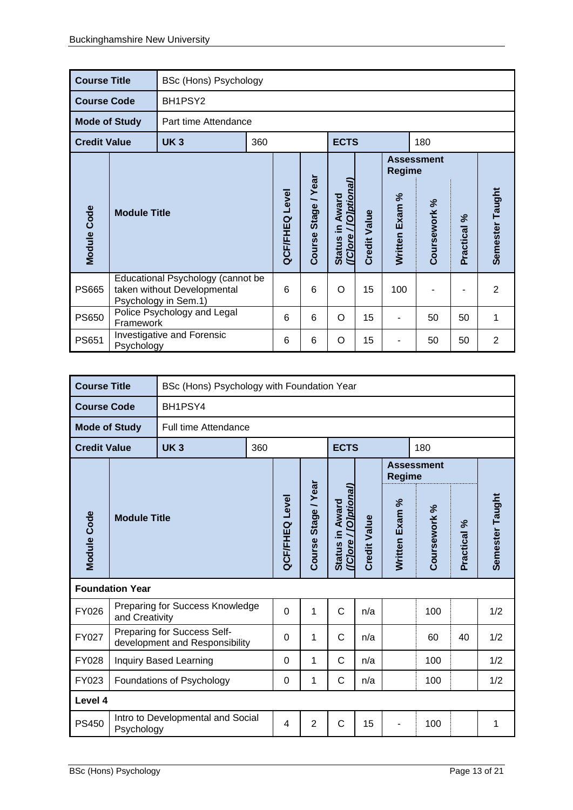| <b>Course Title</b>  |                                                 | BSc (Hons) Psychology                                                                    |     |                       |                          |                                                |                     |                   |              |                        |                 |
|----------------------|-------------------------------------------------|------------------------------------------------------------------------------------------|-----|-----------------------|--------------------------|------------------------------------------------|---------------------|-------------------|--------------|------------------------|-----------------|
| <b>Course Code</b>   |                                                 | BH1PSY2                                                                                  |     |                       |                          |                                                |                     |                   |              |                        |                 |
| <b>Mode of Study</b> |                                                 | Part time Attendance                                                                     |     |                       |                          |                                                |                     |                   |              |                        |                 |
| <b>Credit Value</b>  |                                                 | <b>UK3</b>                                                                               | 360 |                       |                          | <b>ECTS</b>                                    |                     |                   | 180          |                        |                 |
|                      |                                                 |                                                                                          |     |                       |                          |                                                | Regime              | <b>Assessment</b> |              |                        |                 |
| Module Code          | <b>Module Title</b>                             |                                                                                          |     | <b>QCF/FHEQ Level</b> | /Year<br>Stage<br>Course | (IClore / <i>[Olptional</i><br>Status in Award | <b>Credit Value</b> | Exam %<br>Written | Coursework % | $\approx$<br>Practical | Semester Taught |
| <b>PS665</b>         |                                                 | Educational Psychology (cannot be<br>taken without Developmental<br>Psychology in Sem.1) |     | 6                     | 6                        | O                                              | 15                  | 100               |              |                        | $\overline{2}$  |
| <b>PS650</b>         | Framework                                       | Police Psychology and Legal                                                              |     |                       | 6                        | O                                              | 15                  | $\overline{a}$    | 50           | 50                     | 1               |
| <b>PS651</b>         | <b>Investigative and Forensic</b><br>Psychology |                                                                                          |     | 6                     | 6                        | O                                              | 15                  |                   | 50           | 50                     | $\overline{2}$  |

| <b>Course Title</b>  |                                                 |                                                               | BSc (Hons) Psychology with Foundation Year |                       |                        |                                          |                     |                |                   |             |                 |  |  |  |
|----------------------|-------------------------------------------------|---------------------------------------------------------------|--------------------------------------------|-----------------------|------------------------|------------------------------------------|---------------------|----------------|-------------------|-------------|-----------------|--|--|--|
| <b>Course Code</b>   |                                                 | BH1PSY4                                                       |                                            |                       |                        |                                          |                     |                |                   |             |                 |  |  |  |
| <b>Mode of Study</b> |                                                 | Full time Attendance                                          |                                            |                       |                        |                                          |                     |                |                   |             |                 |  |  |  |
| <b>Credit Value</b>  |                                                 | <b>UK3</b>                                                    | 360                                        |                       |                        | <b>ECTS</b>                              |                     |                | 180               |             |                 |  |  |  |
|                      |                                                 |                                                               |                                            |                       |                        |                                          |                     | <b>Regime</b>  | <b>Assessment</b> |             |                 |  |  |  |
| <b>Module Code</b>   | <b>Module Title</b>                             |                                                               |                                            | <b>QCF/FHEQ Level</b> | Stage / Year<br>Course | (ICJore / [O]ptional]<br>Status in Award | <b>Credit Value</b> | Written Exam % | Coursework %      | Practical % | Semester Taught |  |  |  |
|                      | <b>Foundation Year</b>                          |                                                               |                                            |                       |                        |                                          |                     |                |                   |             |                 |  |  |  |
| <b>FY026</b>         | and Creativity                                  | Preparing for Success Knowledge                               |                                            | $\overline{0}$        | 1                      | $\mathsf{C}$                             | n/a                 |                | 100               |             | 1/2             |  |  |  |
| FY027                |                                                 | Preparing for Success Self-<br>development and Responsibility |                                            | 0                     | 1                      | $\mathsf{C}$                             | n/a                 |                | 60                | 40          | 1/2             |  |  |  |
| <b>FY028</b>         | Inquiry Based Learning                          |                                                               |                                            | 0                     | 1                      | C                                        | n/a                 |                | 100               |             | 1/2             |  |  |  |
| FY023                | Foundations of Psychology                       |                                                               |                                            | 0                     | 1                      | $\mathsf{C}$                             | n/a                 |                | 100               |             | 1/2             |  |  |  |
| Level 4              |                                                 |                                                               |                                            |                       |                        |                                          |                     |                |                   |             |                 |  |  |  |
| <b>PS450</b>         | Intro to Developmental and Social<br>Psychology |                                                               |                                            | 4                     | $\overline{2}$         | $\mathsf{C}$                             | 15                  |                | 100               |             | 1               |  |  |  |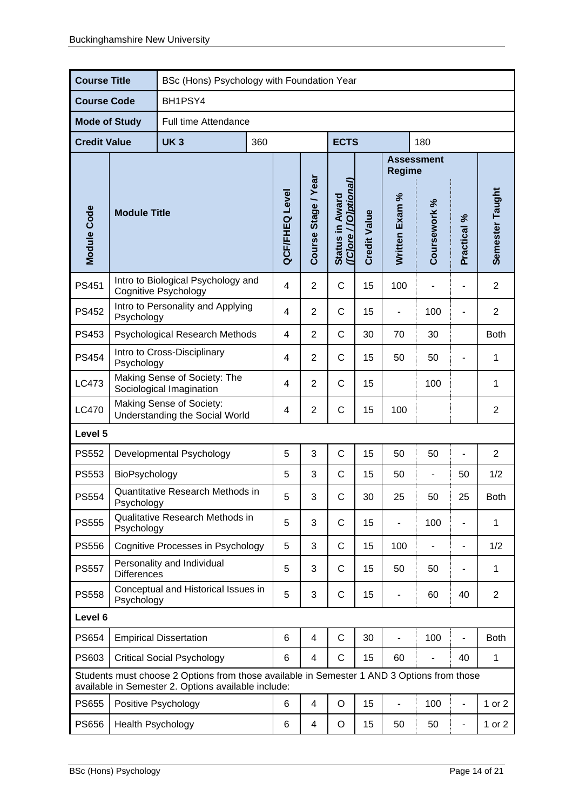| <b>Course Title</b>  |                                                                                                                                                   | BSc (Hons) Psychology with Foundation Year                        |                       |                     |                                          |                     |                |                          |                          |                          |                |
|----------------------|---------------------------------------------------------------------------------------------------------------------------------------------------|-------------------------------------------------------------------|-----------------------|---------------------|------------------------------------------|---------------------|----------------|--------------------------|--------------------------|--------------------------|----------------|
| <b>Course Code</b>   |                                                                                                                                                   | BH1PSY4                                                           |                       |                     |                                          |                     |                |                          |                          |                          |                |
| <b>Mode of Study</b> |                                                                                                                                                   | Full time Attendance                                              |                       |                     |                                          |                     |                |                          |                          |                          |                |
| <b>Credit Value</b>  |                                                                                                                                                   | <b>UK3</b>                                                        | 360                   |                     |                                          | <b>ECTS</b>         |                |                          | 180                      |                          |                |
|                      |                                                                                                                                                   |                                                                   |                       |                     |                                          |                     |                | <b>Regime</b>            | <b>Assessment</b>        |                          |                |
| <b>Module Code</b>   | <b>Module Title</b>                                                                                                                               |                                                                   | <b>QCF/FHEQ Level</b> | Course Stage / Year | ([C]ore / [O]ptional)<br>Status in Award | <b>Credit Value</b> | Written Exam % | Coursework %             | Practical %              | Semester Taught          |                |
| <b>PS451</b>         |                                                                                                                                                   | Intro to Biological Psychology and<br><b>Cognitive Psychology</b> |                       | 4                   | $\overline{2}$                           | C                   | 15             | 100                      |                          | L,                       | $\overline{2}$ |
| <b>PS452</b>         | Psychology                                                                                                                                        | Intro to Personality and Applying                                 |                       | 4                   | $\overline{2}$                           | $\mathsf C$         | 15             |                          | 100                      |                          | $\overline{2}$ |
| PS453                | Psychological Research Methods                                                                                                                    |                                                                   |                       | 4                   | $\overline{2}$                           | $\mathsf{C}$        | 30             | 70                       | 30                       |                          | <b>Both</b>    |
| <b>PS454</b>         | Intro to Cross-Disciplinary<br>Psychology                                                                                                         |                                                                   |                       | 4                   | $\overline{2}$                           | $\mathsf{C}$        | 15             | 50                       | 50                       |                          | 1              |
| LC473                | Making Sense of Society: The<br>Sociological Imagination                                                                                          |                                                                   |                       | 4                   | $\overline{2}$                           | $\mathsf{C}$        | 15             |                          | 100                      |                          | 1              |
| <b>LC470</b>         |                                                                                                                                                   | Making Sense of Society:<br>Understanding the Social World        |                       | 4                   | $\overline{2}$                           | C                   | 15             | 100                      |                          |                          | $\overline{2}$ |
| Level 5              |                                                                                                                                                   |                                                                   |                       |                     |                                          |                     |                |                          |                          |                          |                |
| <b>PS552</b>         |                                                                                                                                                   | Developmental Psychology                                          |                       | 5                   | 3                                        | $\mathsf C$         | 15             | 50                       | 50                       | $\overline{a}$           | $\overline{2}$ |
| <b>PS553</b>         | BioPsychology                                                                                                                                     |                                                                   |                       | 5                   | 3                                        | C                   | 15             | 50                       | $\overline{\phantom{a}}$ | 50                       | 1/2            |
| <b>PS554</b>         | Psychology                                                                                                                                        | Quantitative Research Methods in                                  |                       | 5                   | 3                                        | C                   | 30             | 25                       | 50                       | 25                       | <b>Both</b>    |
| <b>PS555</b>         | Psychology                                                                                                                                        | Qualitative Research Methods in                                   |                       | 5                   | 3                                        | C                   | 15             |                          | 100                      |                          | 1              |
| <b>PS556</b>         |                                                                                                                                                   | Cognitive Processes in Psychology                                 |                       | 5                   | 3                                        | $\mathsf{C}$        | 15             | 100                      |                          | $\overline{\phantom{a}}$ | 1/2            |
| <b>PS557</b>         | <b>Differences</b>                                                                                                                                | Personality and Individual                                        |                       | 5                   | 3                                        | C                   | 15             | 50                       | 50                       |                          | 1              |
| <b>PS558</b>         | Psychology                                                                                                                                        | Conceptual and Historical Issues in                               |                       | 5                   | 3                                        | $\mathsf C$         | 15             | -                        | 60                       | 40                       | $\overline{2}$ |
| Level 6              |                                                                                                                                                   |                                                                   |                       |                     |                                          |                     |                |                          |                          |                          |                |
| <b>PS654</b>         |                                                                                                                                                   | <b>Empirical Dissertation</b>                                     |                       | 6                   | $\overline{4}$                           | $\mathsf{C}$        | 30             | $\overline{\phantom{0}}$ | 100                      | -                        | <b>Both</b>    |
| PS603                | <b>Critical Social Psychology</b>                                                                                                                 |                                                                   |                       | 6                   | 4                                        | C                   | 15             | 60                       |                          | 40                       | 1              |
|                      | Students must choose 2 Options from those available in Semester 1 AND 3 Options from those<br>available in Semester 2. Options available include: |                                                                   |                       |                     |                                          |                     |                |                          |                          |                          |                |
| <b>PS655</b>         |                                                                                                                                                   | Positive Psychology                                               |                       | 6                   | 4                                        | $\circ$             | 15             | $\overline{a}$           | 100                      | $\overline{a}$           | 1 or 2         |
| <b>PS656</b>         | Health Psychology                                                                                                                                 |                                                                   |                       | 6                   | $\overline{4}$                           | O                   | 15             | 50                       | 50                       | $\blacksquare$           | 1 or $2$       |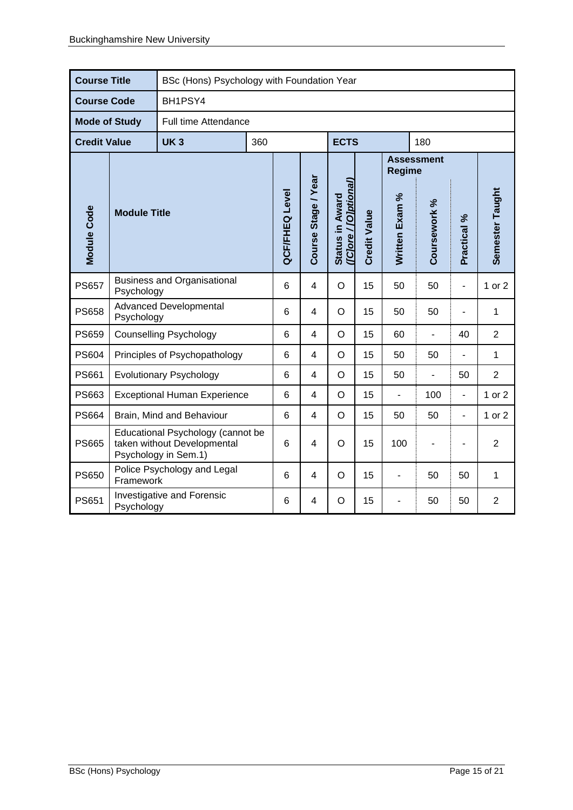| <b>Course Title</b>  |                                                                                          | BSc (Hons) Psychology with Foundation Year |     |                 |                     |                                          |                     |                |                   |                |                 |
|----------------------|------------------------------------------------------------------------------------------|--------------------------------------------|-----|-----------------|---------------------|------------------------------------------|---------------------|----------------|-------------------|----------------|-----------------|
| <b>Course Code</b>   |                                                                                          | BH1PSY4                                    |     |                 |                     |                                          |                     |                |                   |                |                 |
| <b>Mode of Study</b> |                                                                                          | Full time Attendance                       |     |                 |                     |                                          |                     |                |                   |                |                 |
| <b>Credit Value</b>  |                                                                                          | <b>UK3</b>                                 | 360 |                 |                     | <b>ECTS</b>                              |                     |                | 180               |                |                 |
|                      |                                                                                          |                                            |     |                 |                     |                                          |                     | <b>Regime</b>  | <b>Assessment</b> |                |                 |
| Module Code          | <b>Module Title</b>                                                                      |                                            |     | QCF/FHEQ Level  | Course Stage / Year | (ICJore / [O]ptional)<br>Status in Award | <b>Credit Value</b> | Written Exam % | Coursework %      | Practical %    | Semester Taught |
| <b>PS657</b>         | <b>Business and Organisational</b><br>Psychology                                         |                                            |     | 6               | 4                   | $\circ$                                  | 15                  | 50             | 50                | $\blacksquare$ | 1 or 2          |
| <b>PS658</b>         | <b>Advanced Developmental</b><br>Psychology                                              |                                            | 6   | 4               | $\circ$             | 15                                       | 50                  | 50             | $\overline{a}$    | 1              |                 |
| <b>PS659</b>         | <b>Counselling Psychology</b>                                                            |                                            |     | $6\phantom{1}6$ | $\overline{4}$      | $\circ$                                  | 15                  | 60             | $\overline{a}$    | 40             | $\overline{2}$  |
| <b>PS604</b>         | Principles of Psychopathology                                                            |                                            |     | 6               | 4                   | $\circ$                                  | 15                  | 50             | 50                | L.             | $\mathbf{1}$    |
| PS661                | <b>Evolutionary Psychology</b>                                                           |                                            |     | 6               | 4                   | $\circ$                                  | 15                  | 50             |                   | 50             | $\overline{2}$  |
| PS663                | <b>Exceptional Human Experience</b>                                                      |                                            |     | 6               | 4                   | $\circ$                                  | 15                  | L.             | 100               | $\blacksquare$ | 1 or 2          |
| <b>PS664</b>         | Brain, Mind and Behaviour                                                                |                                            |     | 6               | 4                   | $\circ$                                  | 15                  | 50             | 50                | $\blacksquare$ | 1 or 2          |
| <b>PS665</b>         | Educational Psychology (cannot be<br>taken without Developmental<br>Psychology in Sem.1) |                                            |     | 6               | 4                   | $\circ$                                  | 15                  | 100            |                   | $\blacksquare$ | $\overline{2}$  |
| <b>PS650</b>         | Police Psychology and Legal<br>Framework                                                 |                                            |     | 6               | 4                   | $\circ$                                  | 15                  | ۰              | 50                | 50             | 1               |
| <b>PS651</b>         | Investigative and Forensic<br>Psychology                                                 |                                            |     | 6               | 4                   | O                                        | 15                  |                | 50                | 50             | $\overline{2}$  |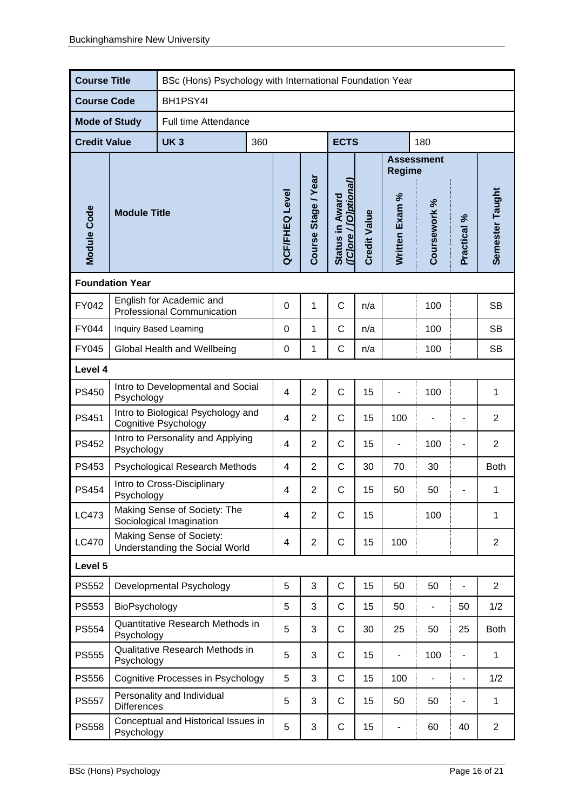| <b>Course Title</b>  |                                                                   | BSc (Hons) Psychology with International Foundation Year |     |                       |                     |                                          |                              |                                    |                          |                          |                 |
|----------------------|-------------------------------------------------------------------|----------------------------------------------------------|-----|-----------------------|---------------------|------------------------------------------|------------------------------|------------------------------------|--------------------------|--------------------------|-----------------|
| <b>Course Code</b>   |                                                                   | BH1PSY4I                                                 |     |                       |                     |                                          |                              |                                    |                          |                          |                 |
| <b>Mode of Study</b> |                                                                   | Full time Attendance                                     |     |                       |                     |                                          |                              |                                    |                          |                          |                 |
| <b>Credit Value</b>  |                                                                   | <b>UK3</b>                                               | 360 | <b>ECTS</b>           |                     |                                          | 180                          |                                    |                          |                          |                 |
|                      |                                                                   |                                                          |     |                       |                     |                                          |                              | <b>Assessment</b><br><b>Regime</b> |                          |                          |                 |
| <b>Module Code</b>   | <b>Module Title</b>                                               |                                                          |     | <b>QCF/FHEQ Level</b> | Course Stage / Year | (ICJore / [O]ptional)<br>Status in Award | <b>Credit Value</b>          | Written Exam %                     | Coursework %             | Practical %              | Semester Taught |
|                      | <b>Foundation Year</b>                                            |                                                          |     |                       |                     |                                          |                              |                                    |                          |                          |                 |
| FY042                | English for Academic and<br><b>Professional Communication</b>     |                                                          |     | $\boldsymbol{0}$      | 1                   | $\mathsf C$                              | n/a                          |                                    | 100                      |                          | <b>SB</b>       |
| <b>FY044</b>         | Inquiry Based Learning                                            |                                                          |     | 0                     | 1                   | C                                        | n/a                          |                                    | 100                      |                          | <b>SB</b>       |
| <b>FY045</b>         | Global Health and Wellbeing                                       |                                                          |     | 0                     | 1                   | $\mathsf C$                              | n/a                          |                                    | 100                      |                          | <b>SB</b>       |
| Level 4              |                                                                   |                                                          |     |                       |                     |                                          |                              |                                    |                          |                          |                 |
| <b>PS450</b>         | Intro to Developmental and Social<br>Psychology                   |                                                          |     | $\overline{4}$        | $\overline{2}$      | $\mathsf C$                              | 15                           |                                    | 100                      |                          | 1               |
| <b>PS451</b>         | Intro to Biological Psychology and<br><b>Cognitive Psychology</b> |                                                          | 4   | $\overline{2}$        | $\mathsf C$         | 15                                       | 100                          |                                    | $\blacksquare$           | $\overline{2}$           |                 |
| <b>PS452</b>         | Intro to Personality and Applying<br>Psychology                   |                                                          | 4   | $\overline{2}$        | $\mathsf{C}$        | 15                                       |                              | 100                                | $\overline{a}$           | $\overline{2}$           |                 |
| PS453                | Psychological Research Methods                                    |                                                          | 4   | $\overline{2}$        | $\mathsf{C}$        | 30                                       | 70                           | 30                                 |                          | <b>Both</b>              |                 |
| <b>PS454</b>         | Intro to Cross-Disciplinary<br>Psychology                         |                                                          |     | 4                     | $\overline{2}$      | C                                        | 15                           | 50                                 | 50                       |                          | 1               |
| LC473                | Making Sense of Society: The<br>Sociological Imagination          |                                                          |     | 4                     | $\overline{2}$      | C                                        | 15                           |                                    | 100                      |                          | 1               |
| <b>LC470</b>         | Making Sense of Society:<br>Understanding the Social World        |                                                          |     | 4                     | $\overline{2}$      | $\mathsf C$                              | 15                           | 100                                |                          |                          | $\overline{2}$  |
| Level 5              |                                                                   |                                                          |     |                       |                     |                                          |                              |                                    |                          |                          |                 |
| <b>PS552</b>         |                                                                   | Developmental Psychology                                 |     | 5                     | 3                   | $\mathsf C$                              | 15                           | 50                                 | 50                       | ä,                       | $\overline{2}$  |
| PS553                | BioPsychology                                                     |                                                          | 5   | 3                     | $\mathsf{C}$        | 15                                       | 50                           | $\blacksquare$                     | 50                       | 1/2                      |                 |
| PS554                | Psychology                                                        | Quantitative Research Methods in                         |     | 5                     | 3                   | $\mathsf C$                              | 30                           | 25                                 | 50                       | 25                       | <b>Both</b>     |
| <b>PS555</b>         | Qualitative Research Methods in<br>Psychology                     |                                                          | 5   | 3                     | C                   | 15                                       | $\qquad \qquad \blacksquare$ | 100                                | $\overline{\phantom{0}}$ | 1                        |                 |
| <b>PS556</b>         |                                                                   | Cognitive Processes in Psychology                        |     | 5                     | 3                   | $\mathsf C$                              | 15                           | 100                                | $\blacksquare$           | $\overline{\phantom{0}}$ | 1/2             |
| <b>PS557</b>         | Personality and Individual<br><b>Differences</b>                  |                                                          |     | 5                     | 3                   | $\mathsf C$                              | 15                           | 50                                 | 50                       | $\overline{\phantom{0}}$ | 1               |
| <b>PS558</b>         | Conceptual and Historical Issues in<br>Psychology                 |                                                          |     | 5                     | 3                   | C                                        | 15                           |                                    | 60                       | 40                       | $\mathbf{2}$    |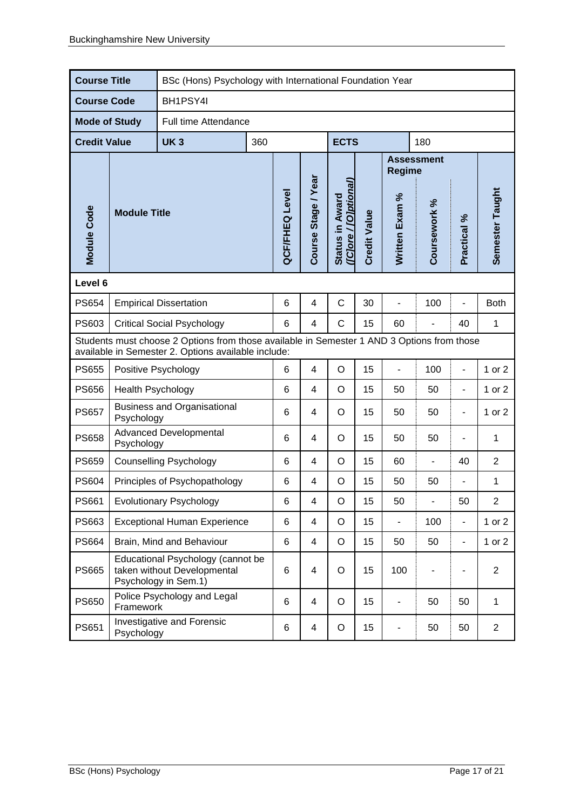| <b>Course Title</b>                                                                                                                               |                                                  | BSc (Hons) Psychology with International Foundation Year                                 |     |                       |                     |                                          |                          |                          |                          |                |                 |
|---------------------------------------------------------------------------------------------------------------------------------------------------|--------------------------------------------------|------------------------------------------------------------------------------------------|-----|-----------------------|---------------------|------------------------------------------|--------------------------|--------------------------|--------------------------|----------------|-----------------|
| <b>Course Code</b>                                                                                                                                |                                                  | BH1PSY4I                                                                                 |     |                       |                     |                                          |                          |                          |                          |                |                 |
| <b>Mode of Study</b>                                                                                                                              |                                                  | Full time Attendance                                                                     |     |                       |                     |                                          |                          |                          |                          |                |                 |
| <b>Credit Value</b>                                                                                                                               |                                                  | <b>UK3</b>                                                                               | 360 |                       |                     | <b>ECTS</b>                              |                          |                          | 180                      |                |                 |
|                                                                                                                                                   |                                                  |                                                                                          |     |                       |                     |                                          | <b>Regime</b>            | <b>Assessment</b>        |                          |                |                 |
| Module Code                                                                                                                                       | <b>Module Title</b>                              |                                                                                          |     | <b>QCF/FHEQ Level</b> | Course Stage / Year | (ICJore / [O]ptional]<br>Status in Award | <b>Credit Value</b>      | Written Exam %           | Coursework %             | Practical %    | Semester Taught |
| Level 6                                                                                                                                           |                                                  |                                                                                          |     |                       |                     |                                          |                          |                          |                          |                |                 |
| <b>PS654</b>                                                                                                                                      | <b>Empirical Dissertation</b>                    |                                                                                          |     | $6\phantom{1}6$       | 4                   | C                                        | 30                       | $\overline{a}$           | 100                      | $\overline{a}$ | <b>Both</b>     |
| PS603<br><b>Critical Social Psychology</b>                                                                                                        |                                                  |                                                                                          | 6   | 4                     | C                   | 15                                       | 60                       |                          | 40                       | 1              |                 |
| Students must choose 2 Options from those available in Semester 1 AND 3 Options from those<br>available in Semester 2. Options available include: |                                                  |                                                                                          |     |                       |                     |                                          |                          |                          |                          |                |                 |
| <b>PS655</b>                                                                                                                                      | Positive Psychology                              |                                                                                          | 6   | 4                     | O                   | 15                                       | $\overline{\phantom{a}}$ | 100                      | $\blacksquare$           | 1 or 2         |                 |
| <b>PS656</b>                                                                                                                                      | Health Psychology                                |                                                                                          | 6   | $\overline{4}$        | $\circ$             | 15                                       | 50                       | 50                       | $\blacksquare$           | 1 or 2         |                 |
| <b>PS657</b>                                                                                                                                      | <b>Business and Organisational</b><br>Psychology |                                                                                          | 6   | 4                     | O                   | 15                                       | 50                       | 50                       | $\overline{\phantom{a}}$ | 1 or 2         |                 |
| <b>PS658</b>                                                                                                                                      | <b>Advanced Developmental</b><br>Psychology      |                                                                                          | 6   | 4                     | O                   | 15                                       | 50                       | 50                       |                          | 1              |                 |
| <b>PS659</b>                                                                                                                                      |                                                  | <b>Counselling Psychology</b>                                                            |     | 6                     | 4                   | O                                        | 15                       | 60                       |                          | 40             | $\overline{2}$  |
| <b>PS604</b>                                                                                                                                      |                                                  | Principles of Psychopathology                                                            |     | 6                     | 4                   | O                                        | 15                       | 50                       | 50                       | $\overline{a}$ | 1               |
| <b>PS661</b>                                                                                                                                      | <b>Evolutionary Psychology</b>                   |                                                                                          |     | 6                     | 4                   | Ő                                        | 15                       | 50                       | -                        | 50             | 2               |
| PS663                                                                                                                                             | <b>Exceptional Human Experience</b>              |                                                                                          |     | 6                     | 4                   | $\mathsf O$                              | 15                       | $\blacksquare$           | 100                      | $\blacksquare$ | 1 or $2$        |
| PS664                                                                                                                                             | Brain, Mind and Behaviour                        |                                                                                          | 6   | 4                     | O                   | 15                                       | 50                       | 50                       | $\blacksquare$           | 1 or $2$       |                 |
| <b>PS665</b>                                                                                                                                      |                                                  | Educational Psychology (cannot be<br>taken without Developmental<br>Psychology in Sem.1) |     | 6                     | 4                   | O                                        | 15                       | 100                      |                          |                | $\overline{2}$  |
| <b>PS650</b>                                                                                                                                      | Framework                                        | Police Psychology and Legal                                                              |     | 6                     | $\overline{4}$      | O                                        | 15                       | $\overline{\phantom{a}}$ | 50                       | 50             | $\mathbf{1}$    |
| PS651                                                                                                                                             | Investigative and Forensic<br>Psychology         |                                                                                          |     | 6                     | 4                   | O                                        | 15                       |                          | 50                       | 50             | $\overline{2}$  |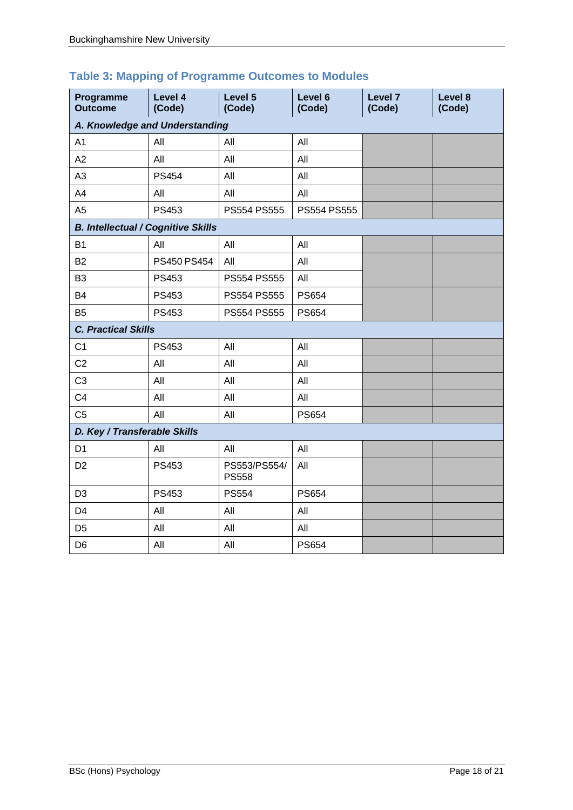|  | <b>Table 3: Mapping of Programme Outcomes to Modules</b> |  |
|--|----------------------------------------------------------|--|
|--|----------------------------------------------------------|--|

| Programme<br><b>Outcome</b>               | Level 4<br>(Code) | Level 5<br>(Code)            | Level 6<br>(Code) | Level 7<br>(Code) | Level 8<br>(Code) |  |  |  |  |
|-------------------------------------------|-------------------|------------------------------|-------------------|-------------------|-------------------|--|--|--|--|
| A. Knowledge and Understanding            |                   |                              |                   |                   |                   |  |  |  |  |
| A <sub>1</sub>                            | All               | All                          | All               |                   |                   |  |  |  |  |
| A2                                        | All               | All                          | All               |                   |                   |  |  |  |  |
| A <sub>3</sub>                            | <b>PS454</b>      | All                          | All               |                   |                   |  |  |  |  |
| A4                                        | All               | All                          | All               |                   |                   |  |  |  |  |
| A <sub>5</sub>                            | PS453             | PS554 PS555                  | PS554 PS555       |                   |                   |  |  |  |  |
| <b>B. Intellectual / Cognitive Skills</b> |                   |                              |                   |                   |                   |  |  |  |  |
| <b>B1</b>                                 | All               | All                          | All               |                   |                   |  |  |  |  |
| <b>B2</b>                                 | PS450 PS454       | All                          | All               |                   |                   |  |  |  |  |
| B <sub>3</sub>                            | <b>PS453</b>      | PS554 PS555                  | All               |                   |                   |  |  |  |  |
| <b>B4</b>                                 | PS453             | PS554 PS555                  | <b>PS654</b>      |                   |                   |  |  |  |  |
| B <sub>5</sub>                            | <b>PS453</b>      | PS554 PS555                  | <b>PS654</b>      |                   |                   |  |  |  |  |
| <b>C. Practical Skills</b>                |                   |                              |                   |                   |                   |  |  |  |  |
| C <sub>1</sub>                            | PS453             | All                          | All               |                   |                   |  |  |  |  |
| C <sub>2</sub>                            | All               | All                          | All               |                   |                   |  |  |  |  |
| C <sub>3</sub>                            | All               | All                          | All               |                   |                   |  |  |  |  |
| C <sub>4</sub>                            | All               | All                          | All               |                   |                   |  |  |  |  |
| C <sub>5</sub>                            | All               | All                          | <b>PS654</b>      |                   |                   |  |  |  |  |
| D. Key / Transferable Skills              |                   |                              |                   |                   |                   |  |  |  |  |
| D <sub>1</sub>                            | All               | All                          | All               |                   |                   |  |  |  |  |
| D <sub>2</sub>                            | <b>PS453</b>      | PS553/PS554/<br><b>PS558</b> | All               |                   |                   |  |  |  |  |
| D <sub>3</sub>                            | <b>PS453</b>      | <b>PS554</b>                 | <b>PS654</b>      |                   |                   |  |  |  |  |
| D <sub>4</sub>                            | All               | All                          | All               |                   |                   |  |  |  |  |
| D <sub>5</sub>                            | All               | All                          | All               |                   |                   |  |  |  |  |
| D <sub>6</sub>                            | All               | All                          | <b>PS654</b>      |                   |                   |  |  |  |  |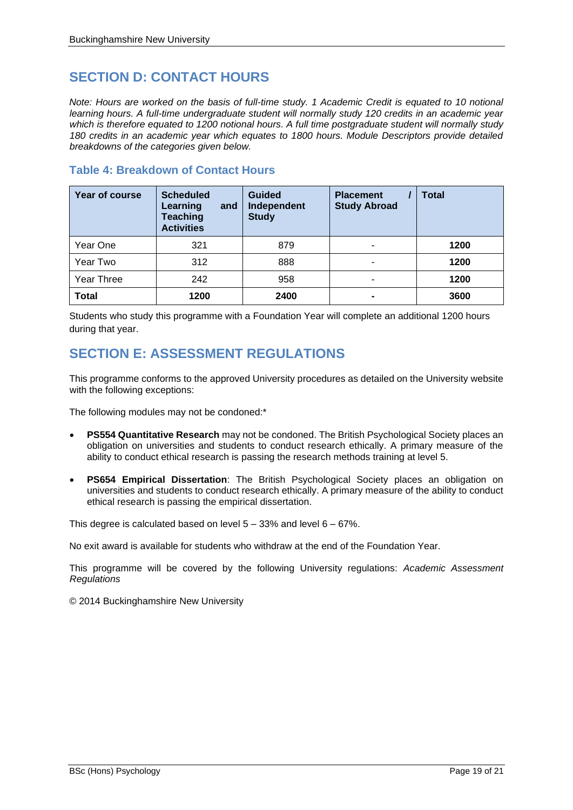## **SECTION D: CONTACT HOURS**

*Note: Hours are worked on the basis of full-time study. 1 Academic Credit is equated to 10 notional learning hours. A full-time undergraduate student will normally study 120 credits in an academic year which is therefore equated to 1200 notional hours. A full time postgraduate student will normally study 180 credits in an academic year which equates to 1800 hours. Module Descriptors provide detailed breakdowns of the categories given below.*

## **Table 4: Breakdown of Contact Hours**

| Year of course         | <b>Scheduled</b><br>Learning<br>and<br><b>Teaching</b><br><b>Activities</b> | <b>Guided</b><br>Independent<br><b>Study</b> | <b>Placement</b><br><b>Study Abroad</b> | <b>Total</b> |  |
|------------------------|-----------------------------------------------------------------------------|----------------------------------------------|-----------------------------------------|--------------|--|
| Year One               | 321                                                                         | 879                                          | ۰.                                      | 1200         |  |
| Year Two<br>312<br>888 |                                                                             |                                              | ۰                                       | 1200         |  |
| Year Three             | 242                                                                         | 958                                          | ۰                                       | 1200         |  |
| <b>Total</b>           | 1200                                                                        | 2400                                         | ۰                                       | 3600         |  |

Students who study this programme with a Foundation Year will complete an additional 1200 hours during that year.

## **SECTION E: ASSESSMENT REGULATIONS**

This programme conforms to the approved University procedures as detailed on the University website with the following exceptions:

The following modules may not be condoned:\*

- **PS554 Quantitative Research** may not be condoned. The British Psychological Society places an obligation on universities and students to conduct research ethically. A primary measure of the ability to conduct ethical research is passing the research methods training at level 5.
- **PS654 Empirical Dissertation**: The British Psychological Society places an obligation on universities and students to conduct research ethically. A primary measure of the ability to conduct ethical research is passing the empirical dissertation.

This degree is calculated based on level 5 – 33% and level 6 – 67%.

No exit award is available for students who withdraw at the end of the Foundation Year.

This programme will be covered by the following University regulations: *Academic Assessment Regulations*

© 2014 Buckinghamshire New University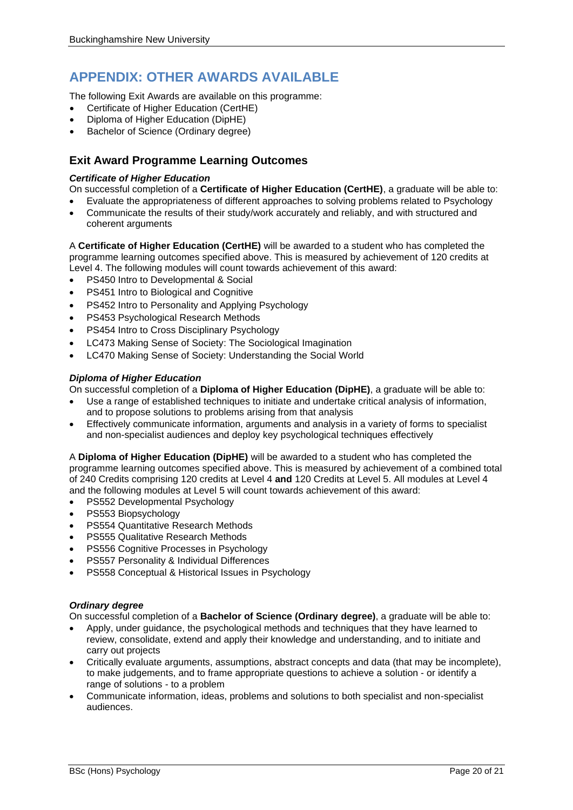## **APPENDIX: OTHER AWARDS AVAILABLE**

The following Exit Awards are available on this programme:

- Certificate of Higher Education (CertHE)
- Diploma of Higher Education (DipHE)
- Bachelor of Science (Ordinary degree)

## **Exit Award Programme Learning Outcomes**

### *Certificate of Higher Education*

On successful completion of a **Certificate of Higher Education (CertHE)**, a graduate will be able to:

- Evaluate the appropriateness of different approaches to solving problems related to Psychology
- Communicate the results of their study/work accurately and reliably, and with structured and coherent arguments

A **Certificate of Higher Education (CertHE)** will be awarded to a student who has completed the programme learning outcomes specified above. This is measured by achievement of 120 credits at Level 4. The following modules will count towards achievement of this award:

- PS450 Intro to Developmental & Social
- PS451 Intro to Biological and Cognitive
- PS452 Intro to Personality and Applying Psychology
- PS453 Psychological Research Methods
- PS454 Intro to Cross Disciplinary Psychology
- LC473 Making Sense of Society: The Sociological Imagination
- LC470 Making Sense of Society: Understanding the Social World

### *Diploma of Higher Education*

On successful completion of a **Diploma of Higher Education (DipHE)**, a graduate will be able to:

- Use a range of established techniques to initiate and undertake critical analysis of information, and to propose solutions to problems arising from that analysis
- Effectively communicate information, arguments and analysis in a variety of forms to specialist and non-specialist audiences and deploy key psychological techniques effectively

A **Diploma of Higher Education (DipHE)** will be awarded to a student who has completed the programme learning outcomes specified above. This is measured by achievement of a combined total of 240 Credits comprising 120 credits at Level 4 **and** 120 Credits at Level 5. All modules at Level 4 and the following modules at Level 5 will count towards achievement of this award:

- PS552 Developmental Psychology
- PS553 Biopsychology
- PS554 Quantitative Research Methods
- PS555 Qualitative Research Methods
- PS556 Cognitive Processes in Psychology
- PS557 Personality & Individual Differences
- PS558 Conceptual & Historical Issues in Psychology

#### *Ordinary degree*

On successful completion of a **Bachelor of Science (Ordinary degree)**, a graduate will be able to:

- Apply, under guidance, the psychological methods and techniques that they have learned to review, consolidate, extend and apply their knowledge and understanding, and to initiate and carry out projects
- Critically evaluate arguments, assumptions, abstract concepts and data (that may be incomplete), to make judgements, and to frame appropriate questions to achieve a solution - or identify a range of solutions - to a problem
- Communicate information, ideas, problems and solutions to both specialist and non-specialist audiences.